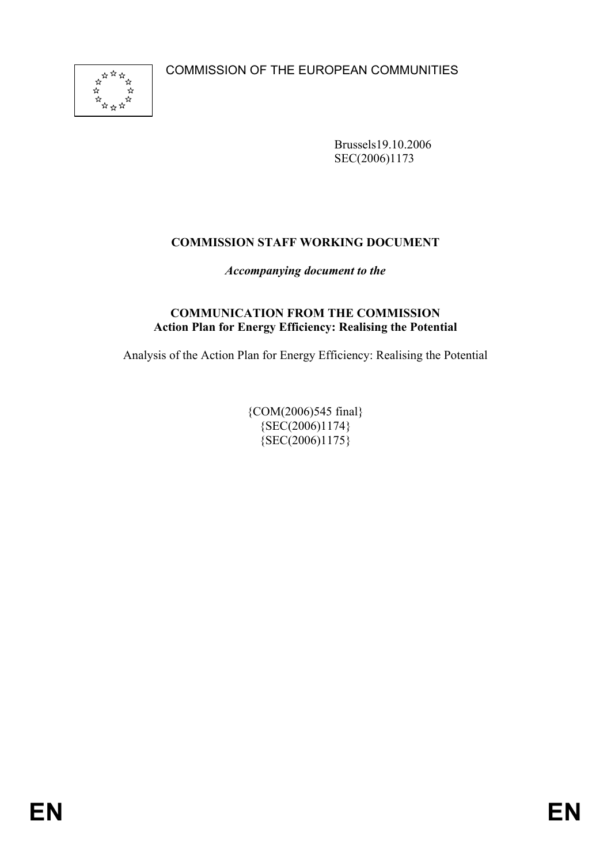COMMISSION OF THE EUROPEAN COMMUNITIES



Brussels19.10.2006 SEC(2006)1173

# **COMMISSION STAFF WORKING DOCUMENT**

*Accompanying document to the*

#### **COMMUNICATION FROM THE COMMISSION Action Plan for Energy Efficiency: Realising the Potential**

Analysis of the Action Plan for Energy Efficiency: Realising the Potential

{COM(2006)545 final}  ${SEC(2006)1174}$  ${SEC(2006)1175}$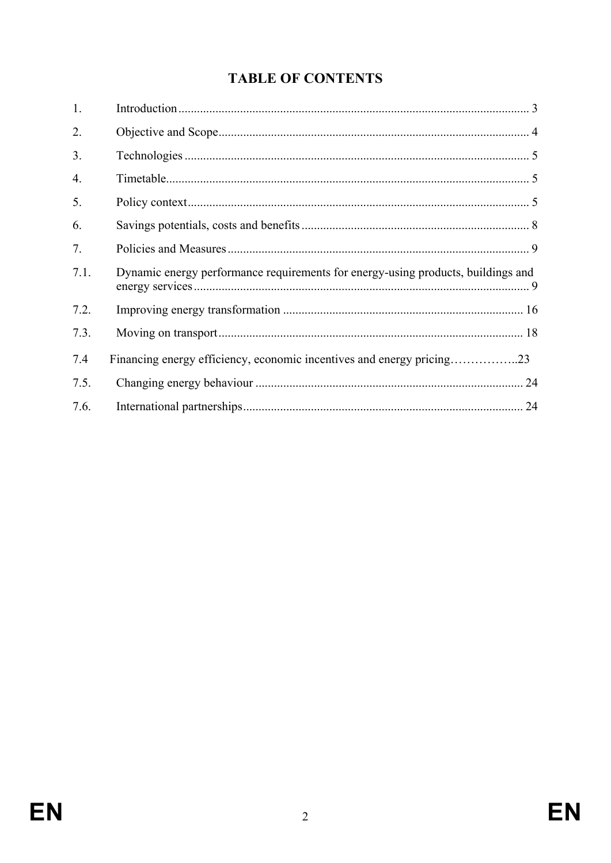# **TABLE OF CONTENTS**

| 1.   |                                                                                  |  |
|------|----------------------------------------------------------------------------------|--|
| 2.   |                                                                                  |  |
| 3.   |                                                                                  |  |
| 4.   |                                                                                  |  |
| 5.   |                                                                                  |  |
| 6.   |                                                                                  |  |
| 7.   |                                                                                  |  |
| 7.1. | Dynamic energy performance requirements for energy-using products, buildings and |  |
| 7.2. |                                                                                  |  |
| 7.3. |                                                                                  |  |
| 7.4  | Financing energy efficiency, economic incentives and energy pricing23            |  |
| 7.5. |                                                                                  |  |
| 7.6. |                                                                                  |  |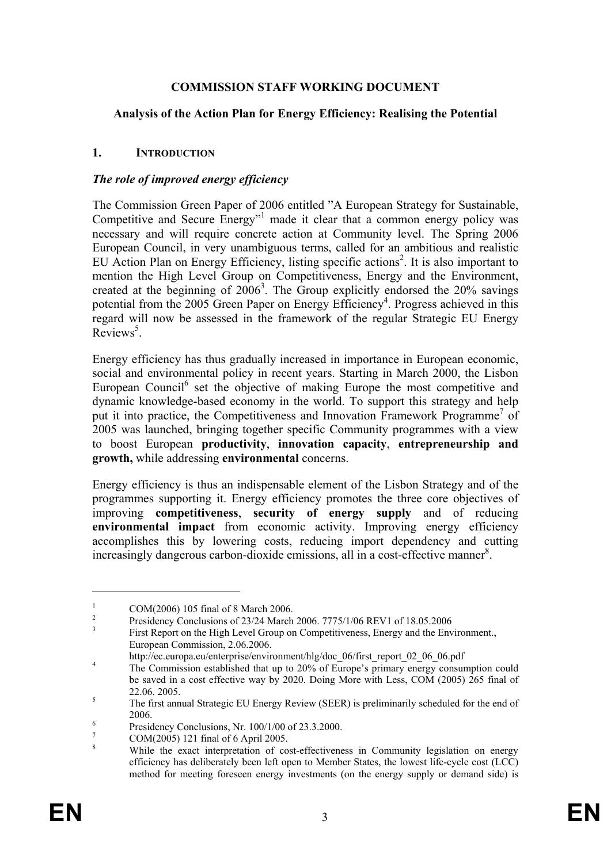#### **COMMISSION STAFF WORKING DOCUMENT**

#### **Analysis of the Action Plan for Energy Efficiency: Realising the Potential**

#### **1. INTRODUCTION**

#### *The role of improved energy efficiency*

The Commission Green Paper of 2006 entitled "A European Strategy for Sustainable, Competitive and Secure Energy<sup>"1</sup> made it clear that a common energy policy was necessary and will require concrete action at Community level. The Spring 2006 European Council, in very unambiguous terms, called for an ambitious and realistic EU Action Plan on Energy Efficiency, listing specific actions<sup>2</sup>. It is also important to mention the High Level Group on Competitiveness, Energy and the Environment, created at the beginning of  $2006<sup>3</sup>$ . The Group explicitly endorsed the 20% savings potential from the 2005 Green Paper on Energy Efficiency<sup>4</sup>. Progress achieved in this regard will now be assessed in the framework of the regular Strategic EU Energy  $Reviews<sup>5</sup>$ .

Energy efficiency has thus gradually increased in importance in European economic, social and environmental policy in recent years. Starting in March 2000, the Lisbon European Council<sup>6</sup> set the objective of making Europe the most competitive and dynamic knowledge-based economy in the world. To support this strategy and help put it into practice, the Competitiveness and Innovation Framework Programme<sup>7</sup> of 2005 was launched, bringing together specific Community programmes with a view to boost European **productivity**, **innovation capacity**, **entrepreneurship and growth,** while addressing **environmental** concerns.

Energy efficiency is thus an indispensable element of the Lisbon Strategy and of the programmes supporting it. Energy efficiency promotes the three core objectives of improving **competitiveness**, **security of energy supply** and of reducing **environmental impact** from economic activity. Improving energy efficiency accomplishes this by lowering costs, reducing import dependency and cutting increasingly dangerous carbon-dioxide emissions, all in a cost-effective manner<sup>8</sup>.

http://ec.europa.eu/enterprise/environment/hlg/doc\_06/first\_report\_02\_06\_06.pdf

<sup>1</sup> COM(2006) 105 final of 8 March 2006.

 $\overline{2}$ Presidency Conclusions of 23/24 March 2006. 7775/1/06 REV1 of 18.05.2006

<sup>3</sup> First Report on the High Level Group on Competitiveness, Energy and the Environment., European Commission, 2.06.2006.

The Commission established that up to 20% of Europe's primary energy consumption could be saved in a cost effective way by 2020. Doing More with Less, COM (2005) 265 final of  $22.06. 2005.$ 

The first annual Strategic EU Energy Review (SEER) is preliminarily scheduled for the end of  $2006.$ 

Presidency Conclusions, Nr. 100/1/00 of 23.3.2000.

<sup>7</sup> COM(2005) 121 final of 6 April 2005.

<sup>8</sup> While the exact interpretation of cost-effectiveness in Community legislation on energy efficiency has deliberately been left open to Member States, the lowest life-cycle cost (LCC) method for meeting foreseen energy investments (on the energy supply or demand side) is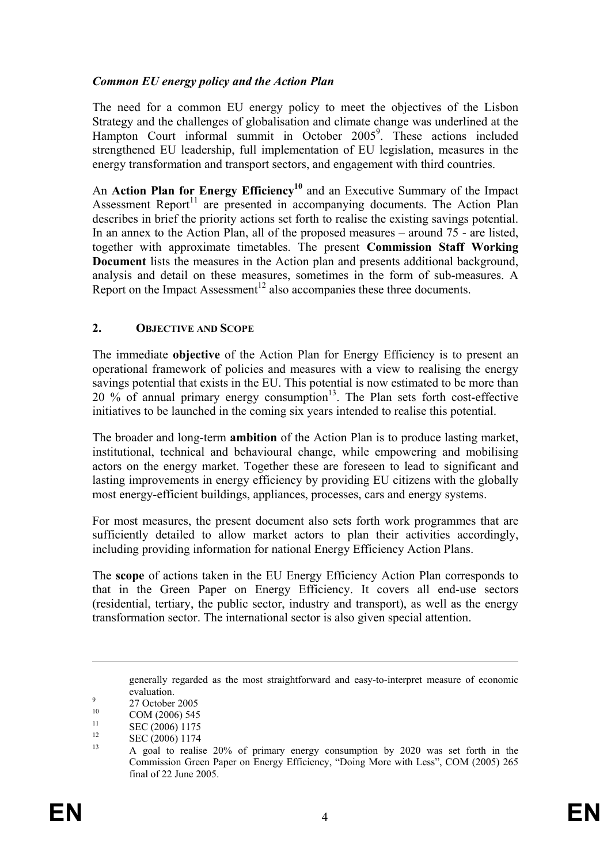### *Common EU energy policy and the Action Plan*

The need for a common EU energy policy to meet the objectives of the Lisbon Strategy and the challenges of globalisation and climate change was underlined at the Hampton Court informal summit in October 2005<sup>9</sup>. These actions included strengthened EU leadership, full implementation of EU legislation, measures in the energy transformation and transport sectors, and engagement with third countries.

An **Action Plan for Energy Efficiency<sup>10</sup>** and an Executive Summary of the Impact Assessment Report<sup>11</sup> are presented in accompanying documents. The Action Plan describes in brief the priority actions set forth to realise the existing savings potential. In an annex to the Action Plan, all of the proposed measures – around 75 - are listed, together with approximate timetables. The present **Commission Staff Working Document** lists the measures in the Action plan and presents additional background, analysis and detail on these measures, sometimes in the form of sub-measures. A Report on the Impact Assessment<sup>12</sup> also accompanies these three documents.

#### **2. OBJECTIVE AND SCOPE**

The immediate **objective** of the Action Plan for Energy Efficiency is to present an operational framework of policies and measures with a view to realising the energy savings potential that exists in the EU. This potential is now estimated to be more than 20 % of annual primary energy consumption<sup>13</sup>. The Plan sets forth cost-effective initiatives to be launched in the coming six years intended to realise this potential.

The broader and long-term **ambition** of the Action Plan is to produce lasting market, institutional, technical and behavioural change, while empowering and mobilising actors on the energy market. Together these are foreseen to lead to significant and lasting improvements in energy efficiency by providing EU citizens with the globally most energy-efficient buildings, appliances, processes, cars and energy systems.

For most measures, the present document also sets forth work programmes that are sufficiently detailed to allow market actors to plan their activities accordingly, including providing information for national Energy Efficiency Action Plans.

The **scope** of actions taken in the EU Energy Efficiency Action Plan corresponds to that in the Green Paper on Energy Efficiency. It covers all end-use sectors (residential, tertiary, the public sector, industry and transport), as well as the energy transformation sector. The international sector is also given special attention.

generally regarded as the most straightforward and easy-to-interpret measure of economic evaluation.

 $^{9}$  27 October 2005

 $10$  COM (2006) 545

 $\frac{11}{12}$  SEC (2006) 1175

 $\sum_{13}^{12}$  SEC (2006) 1174

<sup>13</sup> A goal to realise 20% of primary energy consumption by 2020 was set forth in the Commission Green Paper on Energy Efficiency, "Doing More with Less", COM (2005) 265 final of 22 June 2005.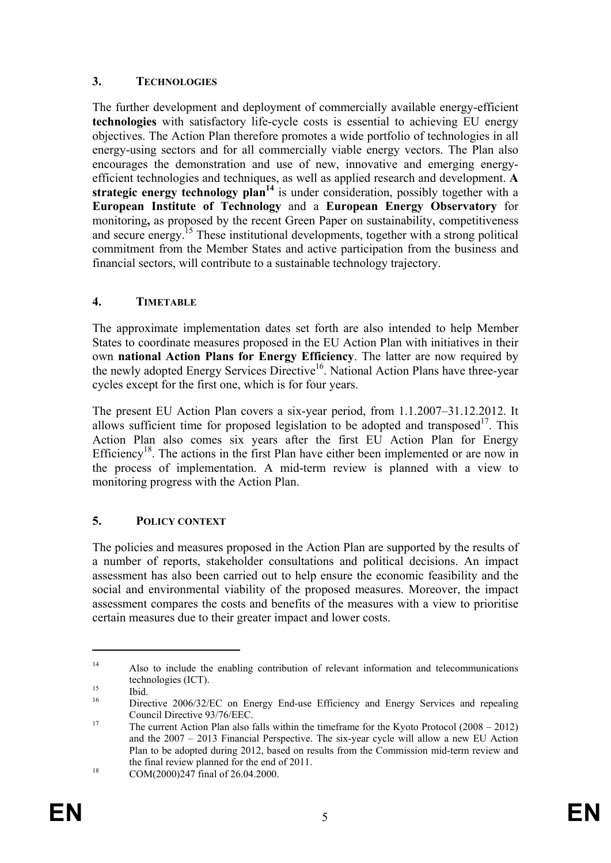## **3. TECHNOLOGIES**

The further development and deployment of commercially available energy-efficient **technologies** with satisfactory life-cycle costs is essential to achieving EU energy objectives. The Action Plan therefore promotes a wide portfolio of technologies in all energy-using sectors and for all commercially viable energy vectors. The Plan also encourages the demonstration and use of new, innovative and emerging energyefficient technologies and techniques, as well as applied research and development. **A strategic energy technology plan<sup>14</sup>** is under consideration, possibly together with a **European Institute of Technology** and a **European Energy Observatory** for monitoring**,** as proposed by the recent Green Paper on sustainability, competitiveness and secure energy.15 These institutional developments, together with a strong political commitment from the Member States and active participation from the business and financial sectors, will contribute to a sustainable technology trajectory.

### **4. TIMETABLE**

The approximate implementation dates set forth are also intended to help Member States to coordinate measures proposed in the EU Action Plan with initiatives in their own **national Action Plans for Energy Efficiency**. The latter are now required by the newly adopted Energy Services Directive<sup>16</sup>. National Action Plans have three-year cycles except for the first one, which is for four years.

The present EU Action Plan covers a six-year period, from 1.1.2007–31.12.2012. It allows sufficient time for proposed legislation to be adopted and transposed<sup>17</sup>. This Action Plan also comes six years after the first EU Action Plan for Energy Efficiency<sup>18</sup>. The actions in the first Plan have either been implemented or are now in the process of implementation. A mid-term review is planned with a view to monitoring progress with the Action Plan.

# **5. POLICY CONTEXT**

The policies and measures proposed in the Action Plan are supported by the results of a number of reports, stakeholder consultations and political decisions. An impact assessment has also been carried out to help ensure the economic feasibility and the social and environmental viability of the proposed measures. Moreover, the impact assessment compares the costs and benefits of the measures with a view to prioritise certain measures due to their greater impact and lower costs.

<sup>&</sup>lt;sup>14</sup> Also to include the enabling contribution of relevant information and telecommunications technologies (ICT).<br>
<sup>15</sup> Ibid.<br>
<sup>16</sup> Directive 2006/220

Directive 2006/32/EC on Energy End-use Efficiency and Energy Services and repealing Council Directive 93/76/EEC.<br><sup>17</sup> The current Action Plan also falls within the timeframe for the Kyoto Protocol (2008 – 2012)

and the 2007 – 2013 Financial Perspective. The six-year cycle will allow a new EU Action Plan to be adopted during 2012, based on results from the Commission mid-term review and the final review planned for the end of 2011.<br>COM(2000)247 final of 26.04.2000.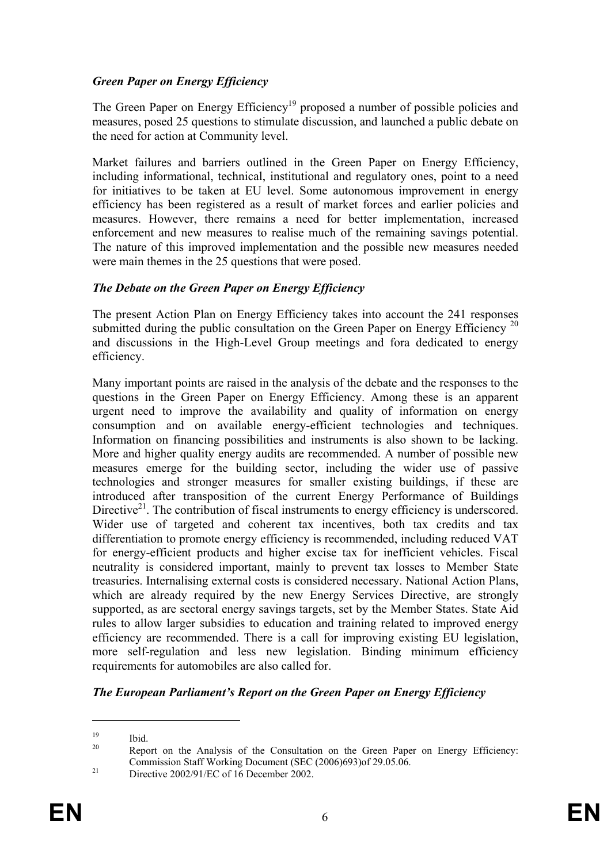### *Green Paper on Energy Efficiency*

The Green Paper on Energy Efficiency<sup>19</sup> proposed a number of possible policies and measures, posed 25 questions to stimulate discussion, and launched a public debate on the need for action at Community level.

Market failures and barriers outlined in the Green Paper on Energy Efficiency, including informational, technical, institutional and regulatory ones, point to a need for initiatives to be taken at EU level. Some autonomous improvement in energy efficiency has been registered as a result of market forces and earlier policies and measures. However, there remains a need for better implementation, increased enforcement and new measures to realise much of the remaining savings potential. The nature of this improved implementation and the possible new measures needed were main themes in the 25 questions that were posed.

#### *The Debate on the Green Paper on Energy Efficiency*

The present Action Plan on Energy Efficiency takes into account the 241 responses submitted during the public consultation on the Green Paper on Energy Efficiency  $^{20}$ and discussions in the High-Level Group meetings and fora dedicated to energy efficiency.

Many important points are raised in the analysis of the debate and the responses to the questions in the Green Paper on Energy Efficiency. Among these is an apparent urgent need to improve the availability and quality of information on energy consumption and on available energy-efficient technologies and techniques. Information on financing possibilities and instruments is also shown to be lacking. More and higher quality energy audits are recommended. A number of possible new measures emerge for the building sector, including the wider use of passive technologies and stronger measures for smaller existing buildings, if these are introduced after transposition of the current Energy Performance of Buildings Directive<sup>21</sup>. The contribution of fiscal instruments to energy efficiency is underscored. Wider use of targeted and coherent tax incentives, both tax credits and tax differentiation to promote energy efficiency is recommended, including reduced VAT for energy-efficient products and higher excise tax for inefficient vehicles. Fiscal neutrality is considered important, mainly to prevent tax losses to Member State treasuries. Internalising external costs is considered necessary. National Action Plans, which are already required by the new Energy Services Directive, are strongly supported, as are sectoral energy savings targets, set by the Member States. State Aid rules to allow larger subsidies to education and training related to improved energy efficiency are recommended. There is a call for improving existing EU legislation, more self-regulation and less new legislation. Binding minimum efficiency requirements for automobiles are also called for.

#### *The European Parliament's Report on the Green Paper on Energy Efficiency*

 $\frac{19}{20}$  Ibid.

Report on the Analysis of the Consultation on the Green Paper on Energy Efficiency: Commission Staff Working Document (SEC (2006)693)of 29.05.06. 21 Directive 2002/91/EC of 16 December 2002.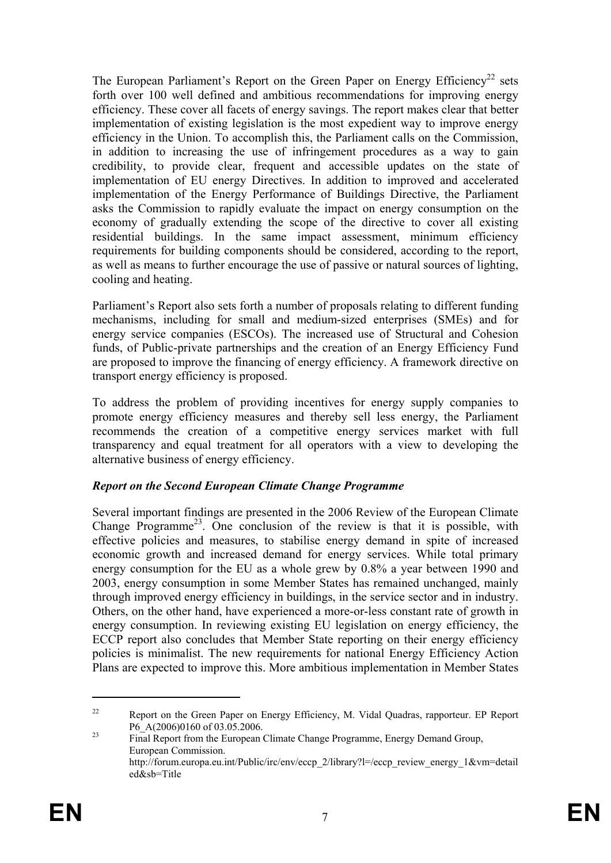The European Parliament's Report on the Green Paper on Energy Efficiency<sup>22</sup> sets forth over 100 well defined and ambitious recommendations for improving energy efficiency. These cover all facets of energy savings. The report makes clear that better implementation of existing legislation is the most expedient way to improve energy efficiency in the Union. To accomplish this, the Parliament calls on the Commission, in addition to increasing the use of infringement procedures as a way to gain credibility, to provide clear, frequent and accessible updates on the state of implementation of EU energy Directives. In addition to improved and accelerated implementation of the Energy Performance of Buildings Directive, the Parliament asks the Commission to rapidly evaluate the impact on energy consumption on the economy of gradually extending the scope of the directive to cover all existing residential buildings. In the same impact assessment, minimum efficiency requirements for building components should be considered, according to the report, as well as means to further encourage the use of passive or natural sources of lighting, cooling and heating.

Parliament's Report also sets forth a number of proposals relating to different funding mechanisms, including for small and medium-sized enterprises (SMEs) and for energy service companies (ESCOs). The increased use of Structural and Cohesion funds, of Public-private partnerships and the creation of an Energy Efficiency Fund are proposed to improve the financing of energy efficiency. A framework directive on transport energy efficiency is proposed.

To address the problem of providing incentives for energy supply companies to promote energy efficiency measures and thereby sell less energy, the Parliament recommends the creation of a competitive energy services market with full transparency and equal treatment for all operators with a view to developing the alternative business of energy efficiency.

# *Report on the Second European Climate Change Programme*

Several important findings are presented in the 2006 Review of the European Climate Change Programme<sup>23</sup>. One conclusion of the review is that it is possible, with effective policies and measures, to stabilise energy demand in spite of increased economic growth and increased demand for energy services. While total primary energy consumption for the EU as a whole grew by 0.8% a year between 1990 and 2003, energy consumption in some Member States has remained unchanged, mainly through improved energy efficiency in buildings, in the service sector and in industry. Others, on the other hand, have experienced a more-or-less constant rate of growth in energy consumption. In reviewing existing EU legislation on energy efficiency, the ECCP report also concludes that Member State reporting on their energy efficiency policies is minimalist. The new requirements for national Energy Efficiency Action Plans are expected to improve this. More ambitious implementation in Member States

<sup>&</sup>lt;sup>22</sup> Report on the Green Paper on Energy Efficiency, M. Vidal Quadras, rapporteur. EP Report P6\_A(2006)0160 of 03.05.2006.<br>
<sup>23</sup> Final Report from the European Climate Change Programme, Energy Demand Group,

European Commission. http://forum.europa.eu.int/Public/irc/env/eccp\_2/library?l=/eccp\_review\_energy\_1&vm=detail ed&sb=Title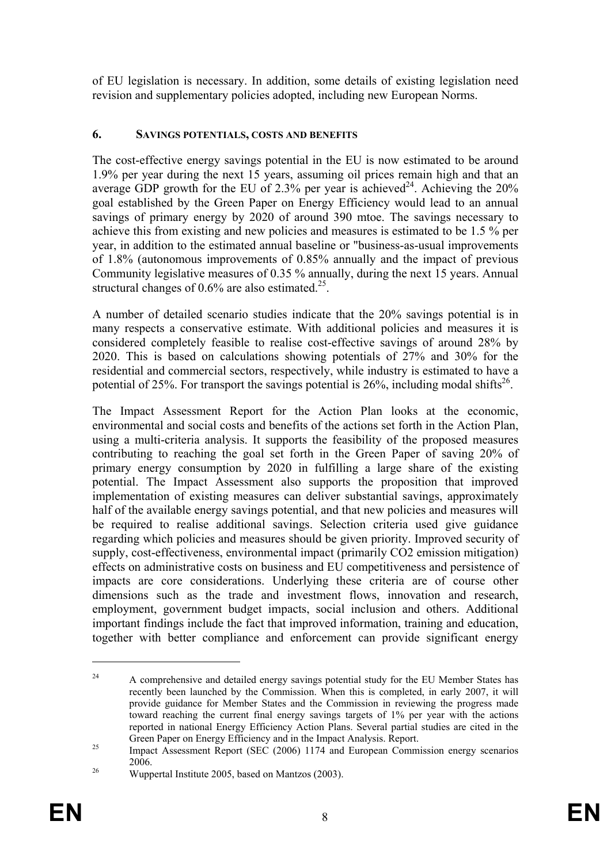of EU legislation is necessary. In addition, some details of existing legislation need revision and supplementary policies adopted, including new European Norms.

#### **6. SAVINGS POTENTIALS, COSTS AND BENEFITS**

The cost-effective energy savings potential in the EU is now estimated to be around 1.9% per year during the next 15 years, assuming oil prices remain high and that an average GDP growth for the EU of  $2.3\%$  per year is achieved<sup>24</sup>. Achieving the  $20\%$ goal established by the Green Paper on Energy Efficiency would lead to an annual savings of primary energy by 2020 of around 390 mtoe. The savings necessary to achieve this from existing and new policies and measures is estimated to be 1.5 % per year, in addition to the estimated annual baseline or "business-as-usual improvements of 1.8% (autonomous improvements of 0.85% annually and the impact of previous Community legislative measures of 0.35 % annually, during the next 15 years. Annual structural changes of  $0.6\%$  are also estimated.<sup>25</sup>.

A number of detailed scenario studies indicate that the 20% savings potential is in many respects a conservative estimate. With additional policies and measures it is considered completely feasible to realise cost-effective savings of around 28% by 2020. This is based on calculations showing potentials of 27% and 30% for the residential and commercial sectors, respectively, while industry is estimated to have a potential of 25%. For transport the savings potential is 26%, including modal shifts<sup>26</sup>.

The Impact Assessment Report for the Action Plan looks at the economic, environmental and social costs and benefits of the actions set forth in the Action Plan, using a multi-criteria analysis. It supports the feasibility of the proposed measures contributing to reaching the goal set forth in the Green Paper of saving 20% of primary energy consumption by 2020 in fulfilling a large share of the existing potential. The Impact Assessment also supports the proposition that improved implementation of existing measures can deliver substantial savings, approximately half of the available energy savings potential, and that new policies and measures will be required to realise additional savings. Selection criteria used give guidance regarding which policies and measures should be given priority. Improved security of supply, cost-effectiveness, environmental impact (primarily CO2 emission mitigation) effects on administrative costs on business and EU competitiveness and persistence of impacts are core considerations. Underlying these criteria are of course other dimensions such as the trade and investment flows, innovation and research, employment, government budget impacts, social inclusion and others. Additional important findings include the fact that improved information, training and education, together with better compliance and enforcement can provide significant energy

<sup>&</sup>lt;sup>24</sup> A comprehensive and detailed energy savings potential study for the EU Member States has recently been launched by the Commission. When this is completed, in early 2007, it will provide guidance for Member States and the Commission in reviewing the progress made toward reaching the current final energy savings targets of 1% per year with the actions reported in national Energy Efficiency Action Plans. Several partial studies are cited in the

Green Paper on Energy Efficiency and in the Impact Analysis. Report.<br><sup>25</sup> Impact Assessment Report (SEC (2006) 1174 and European Commission energy scenarios 2006.<br><sup>26</sup> Wuppertal Institute 2005, based on Mantzos (2003).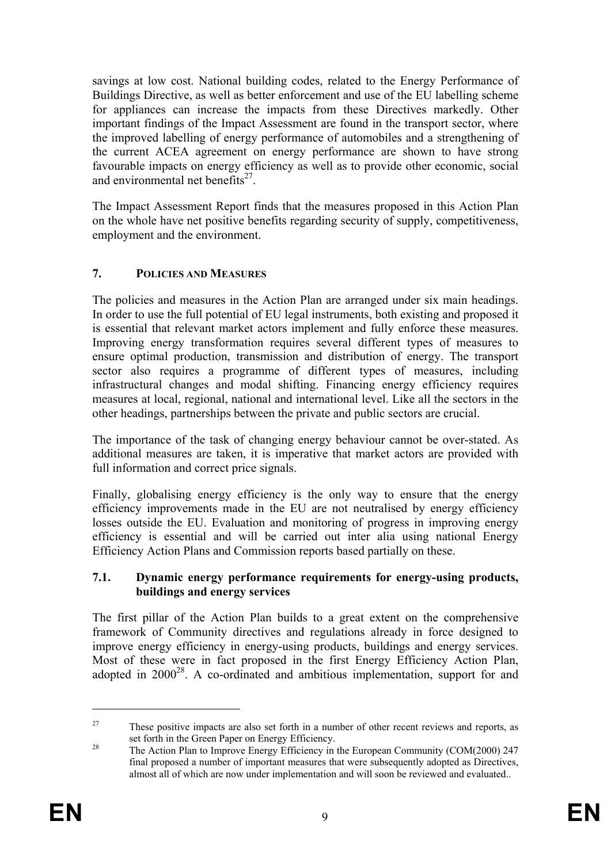savings at low cost. National building codes, related to the Energy Performance of Buildings Directive, as well as better enforcement and use of the EU labelling scheme for appliances can increase the impacts from these Directives markedly. Other important findings of the Impact Assessment are found in the transport sector, where the improved labelling of energy performance of automobiles and a strengthening of the current ACEA agreement on energy performance are shown to have strong favourable impacts on energy efficiency as well as to provide other economic, social and environmental net benefits $2^7$ .

The Impact Assessment Report finds that the measures proposed in this Action Plan on the whole have net positive benefits regarding security of supply, competitiveness, employment and the environment.

# **7. POLICIES AND MEASURES**

The policies and measures in the Action Plan are arranged under six main headings. In order to use the full potential of EU legal instruments, both existing and proposed it is essential that relevant market actors implement and fully enforce these measures. Improving energy transformation requires several different types of measures to ensure optimal production, transmission and distribution of energy. The transport sector also requires a programme of different types of measures, including infrastructural changes and modal shifting. Financing energy efficiency requires measures at local, regional, national and international level. Like all the sectors in the other headings, partnerships between the private and public sectors are crucial.

The importance of the task of changing energy behaviour cannot be over-stated. As additional measures are taken, it is imperative that market actors are provided with full information and correct price signals.

Finally, globalising energy efficiency is the only way to ensure that the energy efficiency improvements made in the EU are not neutralised by energy efficiency losses outside the EU. Evaluation and monitoring of progress in improving energy efficiency is essential and will be carried out inter alia using national Energy Efficiency Action Plans and Commission reports based partially on these.

#### **7.1. Dynamic energy performance requirements for energy-using products, buildings and energy services**

The first pillar of the Action Plan builds to a great extent on the comprehensive framework of Community directives and regulations already in force designed to improve energy efficiency in energy-using products, buildings and energy services. Most of these were in fact proposed in the first Energy Efficiency Action Plan, adopted in  $2000^{28}$ . A co-ordinated and ambitious implementation, support for and

<u>.</u>

<sup>&</sup>lt;sup>27</sup> These positive impacts are also set forth in a number of other recent reviews and reports, as

set forth in the Green Paper on Energy Efficiency.<br><sup>28</sup> The Action Plan to Improve Energy Efficiency in the European Community (COM(2000) 247 final proposed a number of important measures that were subsequently adopted as Directives, almost all of which are now under implementation and will soon be reviewed and evaluated..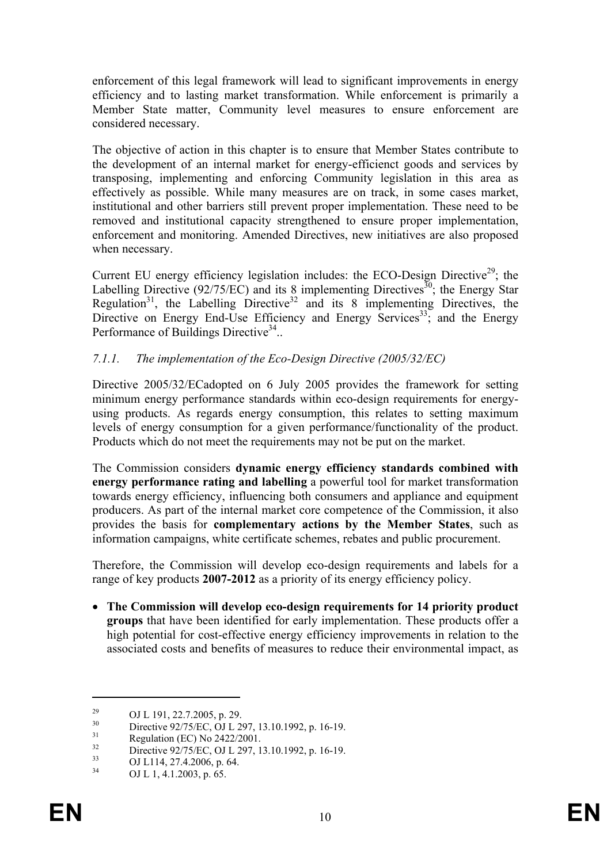enforcement of this legal framework will lead to significant improvements in energy efficiency and to lasting market transformation. While enforcement is primarily a Member State matter, Community level measures to ensure enforcement are considered necessary.

The objective of action in this chapter is to ensure that Member States contribute to the development of an internal market for energy-efficienct goods and services by transposing, implementing and enforcing Community legislation in this area as effectively as possible. While many measures are on track, in some cases market, institutional and other barriers still prevent proper implementation. These need to be removed and institutional capacity strengthened to ensure proper implementation, enforcement and monitoring. Amended Directives, new initiatives are also proposed when necessary.

Current EU energy efficiency legislation includes: the ECO-Design Directive<sup>29</sup>; the Labelling Directive  $(92/75/EC)$  and its 8 implementing Directives<sup>30</sup>; the Energy Star Regulation<sup>31</sup>, the Labelling Directive<sup>32</sup> and its 8 implementing Directives, the Directive on Energy End-Use Efficiency and Energy Services<sup>33</sup>; and the Energy Performance of Buildings Directive<sup>34</sup>..

### *7.1.1. The implementation of the Eco-Design Directive (2005/32/EC)*

Directive 2005/32/ECadopted on 6 July 2005 provides the framework for setting minimum energy performance standards within eco-design requirements for energyusing products. As regards energy consumption, this relates to setting maximum levels of energy consumption for a given performance/functionality of the product. Products which do not meet the requirements may not be put on the market.

The Commission considers **dynamic energy efficiency standards combined with energy performance rating and labelling** a powerful tool for market transformation towards energy efficiency, influencing both consumers and appliance and equipment producers. As part of the internal market core competence of the Commission, it also provides the basis for **complementary actions by the Member States**, such as information campaigns, white certificate schemes, rebates and public procurement.

Therefore, the Commission will develop eco-design requirements and labels for a range of key products **2007-2012** as a priority of its energy efficiency policy.

• **The Commission will develop eco-design requirements for 14 priority product groups** that have been identified for early implementation. These products offer a high potential for cost-effective energy efficiency improvements in relation to the associated costs and benefits of measures to reduce their environmental impact, as

<sup>&</sup>lt;sup>29</sup> OJ L 191, 22.7.2005, p. 29.

 $\frac{30}{31}$  Directive 92/75/EC, OJ L 297, 13.10.1992, p. 16-19.

 $^{31}$  Regulation (EC) No 2422/2001.

 $\frac{32}{33}$  Directive 92/75/EC, OJ L 297, 13.10.1992, p. 16-19.

 $^{33}$  OJ L114, 27.4.2006, p. 64.

OJ L 1, 4.1.2003, p. 65.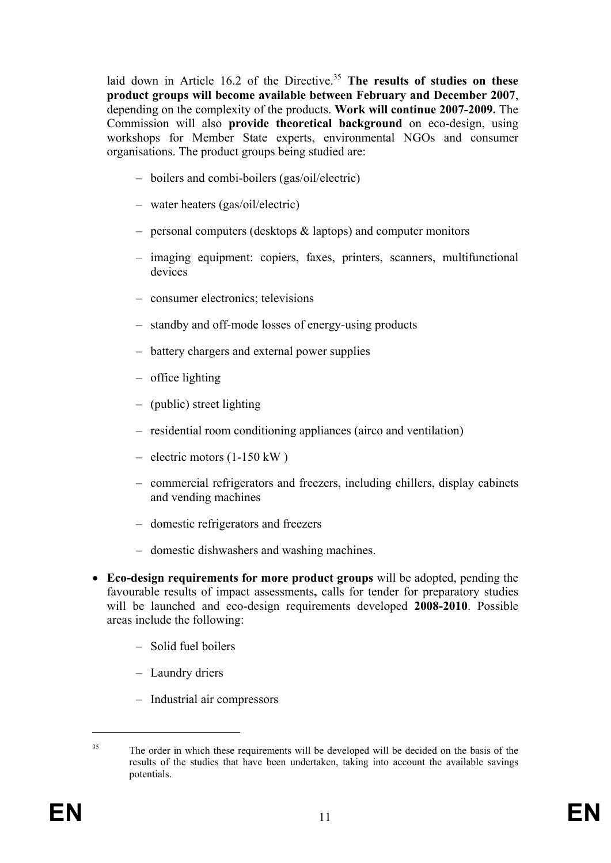laid down in Article 16.2 of the Directive.<sup>35</sup> The results of studies on these **product groups will become available between February and December 2007**, depending on the complexity of the products. **Work will continue 2007-2009.** The Commission will also **provide theoretical background** on eco-design, using workshops for Member State experts, environmental NGOs and consumer organisations. The product groups being studied are:

- boilers and combi-boilers (gas/oil/electric)
- water heaters (gas/oil/electric)
- personal computers (desktops & laptops) and computer monitors
- imaging equipment: copiers, faxes, printers, scanners, multifunctional devices
- consumer electronics; televisions
- standby and off-mode losses of energy-using products
- battery chargers and external power supplies
- office lighting
- (public) street lighting
- residential room conditioning appliances (airco and ventilation)
- electric motors (1-150 kW )
- commercial refrigerators and freezers, including chillers, display cabinets and vending machines
- domestic refrigerators and freezers
- domestic dishwashers and washing machines.
- **Eco-design requirements for more product groups** will be adopted, pending the favourable results of impact assessments**,** calls for tender for preparatory studies will be launched and eco-design requirements developed **2008-2010**. Possible areas include the following:
	- Solid fuel boilers
	- Laundry driers
	- Industrial air compressors

<sup>&</sup>lt;sup>35</sup> The order in which these requirements will be developed will be decided on the basis of the results of the studies that have been undertaken, taking into account the available savings potentials.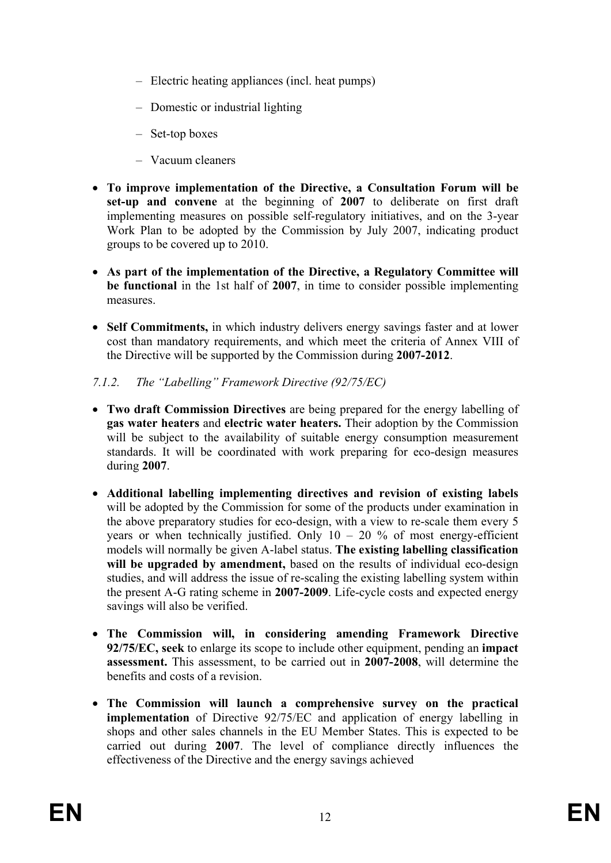- Electric heating appliances (incl. heat pumps)
- Domestic or industrial lighting
- Set-top boxes
- Vacuum cleaners
- **To improve implementation of the Directive, a Consultation Forum will be set-up and convene** at the beginning of **2007** to deliberate on first draft implementing measures on possible self-regulatory initiatives, and on the 3-year Work Plan to be adopted by the Commission by July 2007, indicating product groups to be covered up to 2010.
- **As part of the implementation of the Directive, a Regulatory Committee will be functional** in the 1st half of **2007**, in time to consider possible implementing measures.
- **Self Commitments,** in which industry delivers energy savings faster and at lower cost than mandatory requirements, and which meet the criteria of Annex VIII of the Directive will be supported by the Commission during **2007-2012**.

#### *7.1.2. The "Labelling" Framework Directive (92/75/EC)*

- **Two draft Commission Directives** are being prepared for the energy labelling of **gas water heaters** and **electric water heaters.** Their adoption by the Commission will be subject to the availability of suitable energy consumption measurement standards. It will be coordinated with work preparing for eco-design measures during **2007**.
- **Additional labelling implementing directives and revision of existing labels** will be adopted by the Commission for some of the products under examination in the above preparatory studies for eco-design, with a view to re-scale them every 5 years or when technically justified. Only  $10 - 20$  % of most energy-efficient models will normally be given A-label status. **The existing labelling classification**  will be upgraded by amendment, based on the results of individual eco-design studies, and will address the issue of re-scaling the existing labelling system within the present A-G rating scheme in **2007-2009**. Life-cycle costs and expected energy savings will also be verified.
- **The Commission will, in considering amending Framework Directive 92/75/EC, seek** to enlarge its scope to include other equipment, pending an **impact assessment.** This assessment, to be carried out in **2007-2008**, will determine the benefits and costs of a revision.
- **The Commission will launch a comprehensive survey on the practical implementation** of Directive 92/75/EC and application of energy labelling in shops and other sales channels in the EU Member States. This is expected to be carried out during **2007**. The level of compliance directly influences the effectiveness of the Directive and the energy savings achieved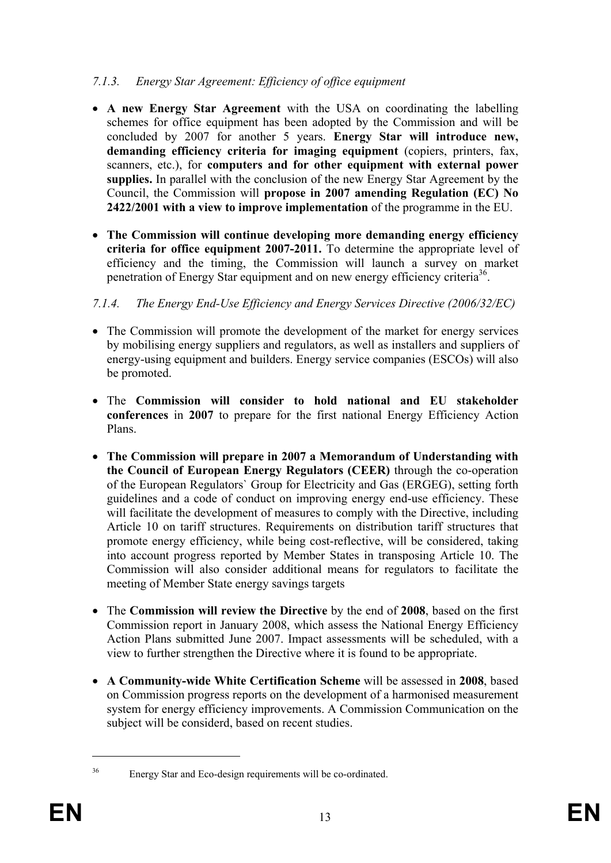### *7.1.3. Energy Star Agreement: Efficiency of office equipment*

- **A new Energy Star Agreement** with the USA on coordinating the labelling schemes for office equipment has been adopted by the Commission and will be concluded by 2007 for another 5 years. **Energy Star will introduce new, demanding efficiency criteria for imaging equipment** (copiers, printers, fax, scanners, etc.), for **computers and for other equipment with external power supplies.** In parallel with the conclusion of the new Energy Star Agreement by the Council, the Commission will **propose in 2007 amending Regulation (EC) No 2422/2001 with a view to improve implementation** of the programme in the EU.
- **The Commission will continue developing more demanding energy efficiency criteria for office equipment 2007-2011.** To determine the appropriate level of efficiency and the timing, the Commission will launch a survey on market penetration of Energy Star equipment and on new energy efficiency criteria<sup>36</sup>.

# *7.1.4. The Energy End-Use Efficiency and Energy Services Directive (2006/32/EC)*

- The Commission will promote the development of the market for energy services by mobilising energy suppliers and regulators, as well as installers and suppliers of energy-using equipment and builders. Energy service companies (ESCOs) will also be promoted.
- The **Commission will consider to hold national and EU stakeholder conferences** in **2007** to prepare for the first national Energy Efficiency Action Plans.
- **The Commission will prepare in 2007 a Memorandum of Understanding with the Council of European Energy Regulators (CEER)** through the co-operation of the European Regulators` Group for Electricity and Gas (ERGEG), setting forth guidelines and a code of conduct on improving energy end-use efficiency. These will facilitate the development of measures to comply with the Directive, including Article 10 on tariff structures. Requirements on distribution tariff structures that promote energy efficiency, while being cost-reflective, will be considered, taking into account progress reported by Member States in transposing Article 10. The Commission will also consider additional means for regulators to facilitate the meeting of Member State energy savings targets
- The **Commission will review the Directive** by the end of **2008**, based on the first Commission report in January 2008, which assess the National Energy Efficiency Action Plans submitted June 2007. Impact assessments will be scheduled, with a view to further strengthen the Directive where it is found to be appropriate.
- **A Community-wide White Certification Scheme** will be assessed in **2008**, based on Commission progress reports on the development of a harmonised measurement system for energy efficiency improvements. A Commission Communication on the subject will be considerd, based on recent studies.

<sup>36</sup> Energy Star and Eco-design requirements will be co-ordinated.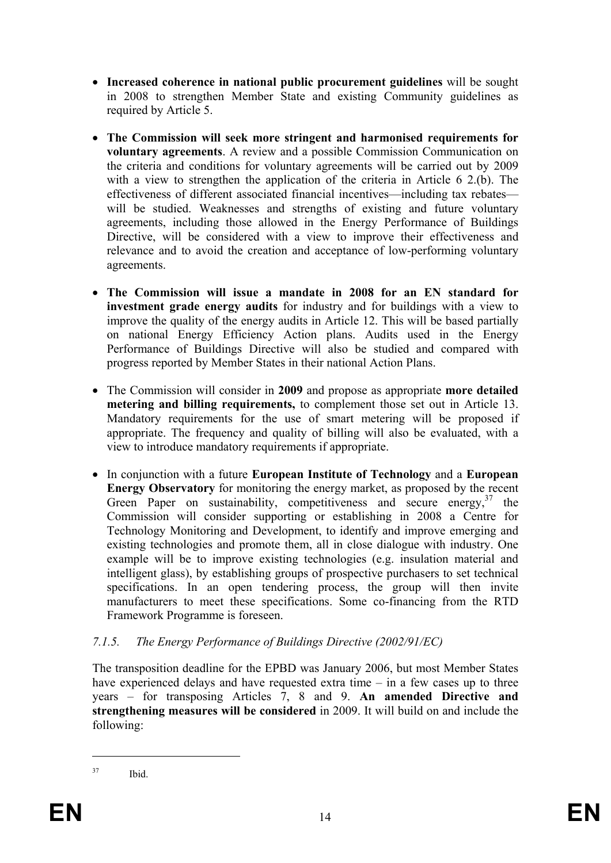- **Increased coherence in national public procurement guidelines** will be sought in 2008 to strengthen Member State and existing Community guidelines as required by Article 5.
- **The Commission will seek more stringent and harmonised requirements for voluntary agreements**. A review and a possible Commission Communication on the criteria and conditions for voluntary agreements will be carried out by 2009 with a view to strengthen the application of the criteria in Article 6 2.(b). The effectiveness of different associated financial incentives—including tax rebates will be studied. Weaknesses and strengths of existing and future voluntary agreements, including those allowed in the Energy Performance of Buildings Directive, will be considered with a view to improve their effectiveness and relevance and to avoid the creation and acceptance of low-performing voluntary agreements.
- **The Commission will issue a mandate in 2008 for an EN standard for investment grade energy audits** for industry and for buildings with a view to improve the quality of the energy audits in Article 12. This will be based partially on national Energy Efficiency Action plans. Audits used in the Energy Performance of Buildings Directive will also be studied and compared with progress reported by Member States in their national Action Plans.
- The Commission will consider in **2009** and propose as appropriate **more detailed metering and billing requirements,** to complement those set out in Article 13. Mandatory requirements for the use of smart metering will be proposed if appropriate. The frequency and quality of billing will also be evaluated, with a view to introduce mandatory requirements if appropriate.
- In conjunction with a future **European Institute of Technology** and a **European Energy Observatory** for monitoring the energy market, as proposed by the recent Green Paper on sustainability, competitiveness and secure energy,<sup>37</sup> the Commission will consider supporting or establishing in 2008 a Centre for Technology Monitoring and Development, to identify and improve emerging and existing technologies and promote them, all in close dialogue with industry. One example will be to improve existing technologies (e.g. insulation material and intelligent glass), by establishing groups of prospective purchasers to set technical specifications. In an open tendering process, the group will then invite manufacturers to meet these specifications. Some co-financing from the RTD Framework Programme is foreseen.

# *7.1.5. The Energy Performance of Buildings Directive (2002/91/EC)*

The transposition deadline for the EPBD was January 2006, but most Member States have experienced delays and have requested extra time – in a few cases up to three years – for transposing Articles 7, 8 and 9. **An amended Directive and strengthening measures will be considered** in 2009. It will build on and include the following:

<sup>37</sup> Ibid.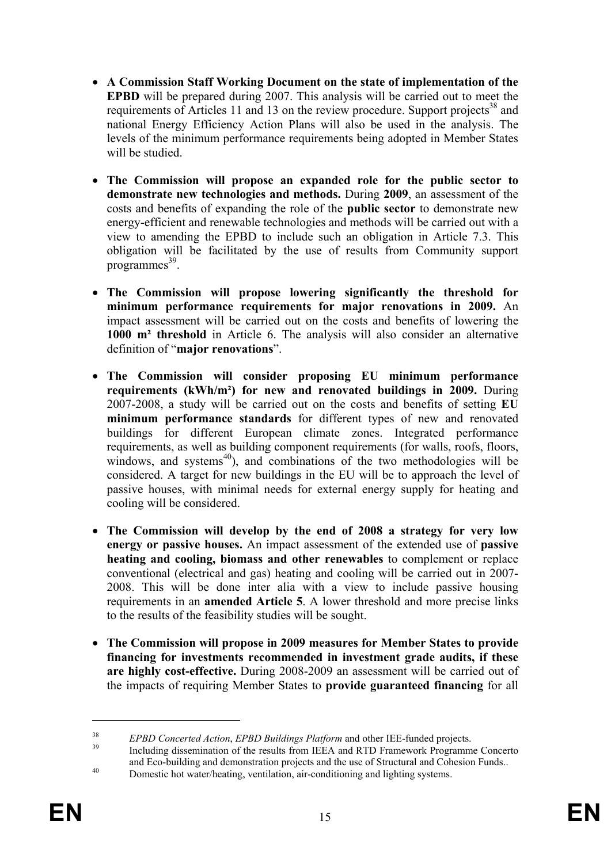- **A Commission Staff Working Document on the state of implementation of the EPBD** will be prepared during 2007. This analysis will be carried out to meet the requirements of Articles 11 and 13 on the review procedure. Support projects<sup>38</sup> and national Energy Efficiency Action Plans will also be used in the analysis. The levels of the minimum performance requirements being adopted in Member States will be studied.
- **The Commission will propose an expanded role for the public sector to demonstrate new technologies and methods.** During **2009**, an assessment of the costs and benefits of expanding the role of the **public sector** to demonstrate new energy-efficient and renewable technologies and methods will be carried out with a view to amending the EPBD to include such an obligation in Article 7.3. This obligation will be facilitated by the use of results from Community support  $programmes<sup>39</sup>$ .
- **The Commission will propose lowering significantly the threshold for minimum performance requirements for major renovations in 2009.** An impact assessment will be carried out on the costs and benefits of lowering the **1000 m² threshold** in Article 6. The analysis will also consider an alternative definition of "**major renovations**".
- **The Commission will consider proposing EU minimum performance requirements (kWh/m²) for new and renovated buildings in 2009.** During 2007-2008, a study will be carried out on the costs and benefits of setting **EU minimum performance standards** for different types of new and renovated buildings for different European climate zones. Integrated performance requirements, as well as building component requirements (for walls, roofs, floors, windows, and systems $^{40}$ ), and combinations of the two methodologies will be considered. A target for new buildings in the EU will be to approach the level of passive houses, with minimal needs for external energy supply for heating and cooling will be considered.
- **The Commission will develop by the end of 2008 a strategy for very low energy or passive houses.** An impact assessment of the extended use of **passive heating and cooling, biomass and other renewables** to complement or replace conventional (electrical and gas) heating and cooling will be carried out in 2007- 2008. This will be done inter alia with a view to include passive housing requirements in an **amended Article 5**. A lower threshold and more precise links to the results of the feasibility studies will be sought.
- **The Commission will propose in 2009 measures for Member States to provide financing for investments recommended in investment grade audits, if these are highly cost-effective.** During 2008-2009 an assessment will be carried out of the impacts of requiring Member States to **provide guaranteed financing** for all

<sup>&</sup>lt;sup>38</sup> *EPBD Concerted Action, EPBD Buildings Platform* and other IEE-funded projects.<br><sup>39</sup> Including dissemination of the results from IEEA and RTD Framework Programme Concerto and Eco-building and demonstration projects and the use of Structural and Cohesion Funds.. Domestic hot water/heating, ventilation, air-conditioning and lighting systems.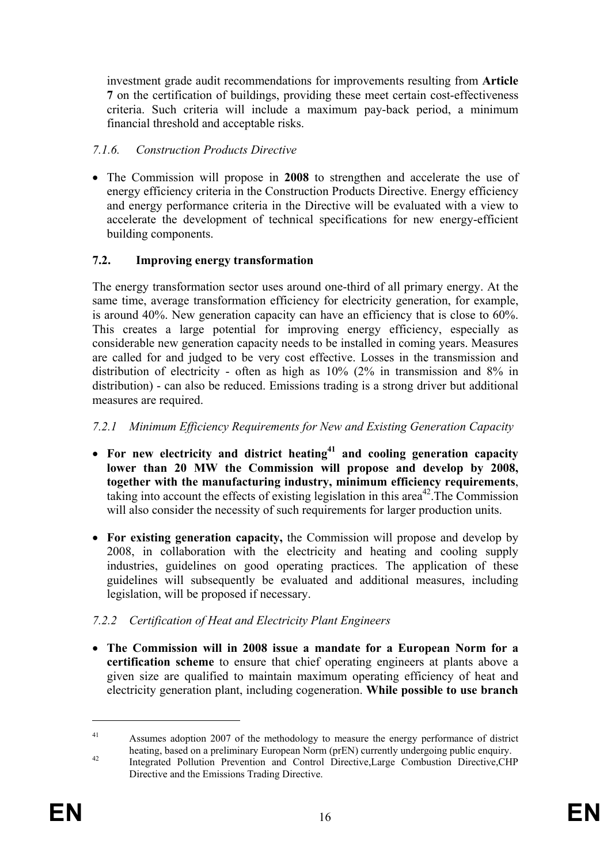investment grade audit recommendations for improvements resulting from **Article 7** on the certification of buildings, providing these meet certain cost-effectiveness criteria. Such criteria will include a maximum pay-back period, a minimum financial threshold and acceptable risks.

# *7.1.6. Construction Products Directive*

• The Commission will propose in **2008** to strengthen and accelerate the use of energy efficiency criteria in the Construction Products Directive. Energy efficiency and energy performance criteria in the Directive will be evaluated with a view to accelerate the development of technical specifications for new energy-efficient building components.

### **7.2. Improving energy transformation**

The energy transformation sector uses around one-third of all primary energy. At the same time, average transformation efficiency for electricity generation, for example, is around 40%. New generation capacity can have an efficiency that is close to 60%. This creates a large potential for improving energy efficiency, especially as considerable new generation capacity needs to be installed in coming years. Measures are called for and judged to be very cost effective. Losses in the transmission and distribution of electricity - often as high as 10% (2% in transmission and 8% in distribution) - can also be reduced. Emissions trading is a strong driver but additional measures are required.

### *7.2.1 Minimum Efficiency Requirements for New and Existing Generation Capacity*

- For new electricity and district heating<sup>41</sup> and cooling generation capacity **lower than 20 MW the Commission will propose and develop by 2008, together with the manufacturing industry, minimum efficiency requirements**, taking into account the effects of existing legislation in this area<sup>42</sup>. The Commission will also consider the necessity of such requirements for larger production units.
- **For existing generation capacity,** the Commission will propose and develop by 2008, in collaboration with the electricity and heating and cooling supply industries, guidelines on good operating practices. The application of these guidelines will subsequently be evaluated and additional measures, including legislation, will be proposed if necessary.

# *7.2.2 Certification of Heat and Electricity Plant Engineers*

• **The Commission will in 2008 issue a mandate for a European Norm for a certification scheme** to ensure that chief operating engineers at plants above a given size are qualified to maintain maximum operating efficiency of heat and electricity generation plant, including cogeneration. **While possible to use branch** 

<sup>&</sup>lt;sup>41</sup> Assumes adoption 2007 of the methodology to measure the energy performance of district heating, based on a preliminary European Norm (prEN) currently undergoing public enquiry.<br>Integrated Pollution Prevention and Control Directive,Large Combustion Directive,CHP

Directive and the Emissions Trading Directive.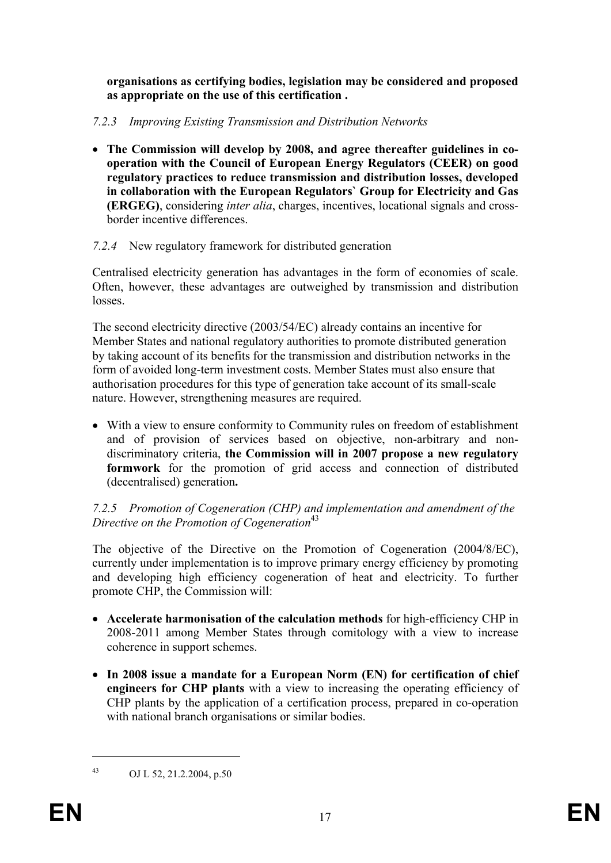**organisations as certifying bodies, legislation may be considered and proposed as appropriate on the use of this certification .**

### *7.2.3 Improving Existing Transmission and Distribution Networks*

• **The Commission will develop by 2008, and agree thereafter guidelines in cooperation with the Council of European Energy Regulators (CEER) on good regulatory practices to reduce transmission and distribution losses, developed in collaboration with the European Regulators` Group for Electricity and Gas (ERGEG)**, considering *inter alia*, charges, incentives, locational signals and crossborder incentive differences.

### *7.2.4* New regulatory framework for distributed generation

Centralised electricity generation has advantages in the form of economies of scale. Often, however, these advantages are outweighed by transmission and distribution losses.

The second electricity directive (2003/54/EC) already contains an incentive for Member States and national regulatory authorities to promote distributed generation by taking account of its benefits for the transmission and distribution networks in the form of avoided long-term investment costs. Member States must also ensure that authorisation procedures for this type of generation take account of its small-scale nature. However, strengthening measures are required.

• With a view to ensure conformity to Community rules on freedom of establishment and of provision of services based on objective, non-arbitrary and nondiscriminatory criteria, **the Commission will in 2007 propose a new regulatory formwork** for the promotion of grid access and connection of distributed (decentralised) generation**.** 

#### *7.2.5 Promotion of Cogeneration (CHP) and implementation and amendment of the Directive on the Promotion of Cogeneration*<sup>43</sup>

The objective of the Directive on the Promotion of Cogeneration (2004/8/EC), currently under implementation is to improve primary energy efficiency by promoting and developing high efficiency cogeneration of heat and electricity. To further promote CHP, the Commission will:

- **Accelerate harmonisation of the calculation methods** for high-efficiency CHP in 2008-2011 among Member States through comitology with a view to increase coherence in support schemes.
- **In 2008 issue a mandate for a European Norm (EN) for certification of chief engineers for CHP plants** with a view to increasing the operating efficiency of CHP plants by the application of a certification process, prepared in co-operation with national branch organisations or similar bodies.

<sup>43</sup> OJ L 52, 21.2.2004, p.50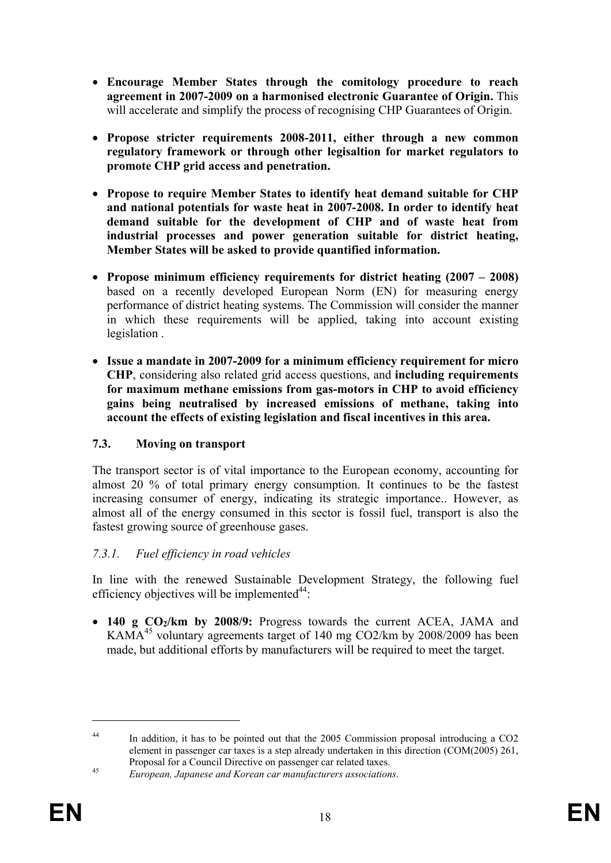- **Encourage Member States through the comitology procedure to reach agreement in 2007-2009 on a harmonised electronic Guarantee of Origin.** This will accelerate and simplify the process of recognising CHP Guarantees of Origin.
- **Propose stricter requirements 2008-2011, either through a new common regulatory framework or through other legisaltion for market regulators to promote CHP grid access and penetration.**
- **Propose to require Member States to identify heat demand suitable for CHP and national potentials for waste heat in 2007-2008. In order to identify heat demand suitable for the development of CHP and of waste heat from industrial processes and power generation suitable for district heating, Member States will be asked to provide quantified information.**
- **Propose minimum efficiency requirements for district heating (2007 2008)**  based on a recently developed European Norm (EN) for measuring energy performance of district heating systems. The Commission will consider the manner in which these requirements will be applied, taking into account existing legislation .
- **Issue a mandate in 2007-2009 for a minimum efficiency requirement for micro CHP**, considering also related grid access questions, and **including requirements for maximum methane emissions from gas-motors in CHP to avoid efficiency gains being neutralised by increased emissions of methane, taking into account the effects of existing legislation and fiscal incentives in this area.**

# **7.3. Moving on transport**

The transport sector is of vital importance to the European economy, accounting for almost 20 % of total primary energy consumption. It continues to be the fastest increasing consumer of energy, indicating its strategic importance.. However, as almost all of the energy consumed in this sector is fossil fuel, transport is also the fastest growing source of greenhouse gases.

#### *7.3.1. Fuel efficiency in road vehicles*

In line with the renewed Sustainable Development Strategy, the following fuel efficiency objectives will be implemented $44$ :

• 140 g CO<sub>2</sub>/km by 2008/9: Progress towards the current ACEA, JAMA and KAMA<sup>45</sup> voluntary agreements target of 140 mg CO2/km by 2008/2009 has been made, but additional efforts by manufacturers will be required to meet the target.

<sup>&</sup>lt;sup>44</sup> In addition, it has to be pointed out that the 2005 Commission proposal introducing a CO2 element in passenger car taxes is a step already undertaken in this direction (COM(2005) 261, Proposal for a Council Directive on passenger car related taxes. 45 *European, Japanese and Korean car manufacturers associations*.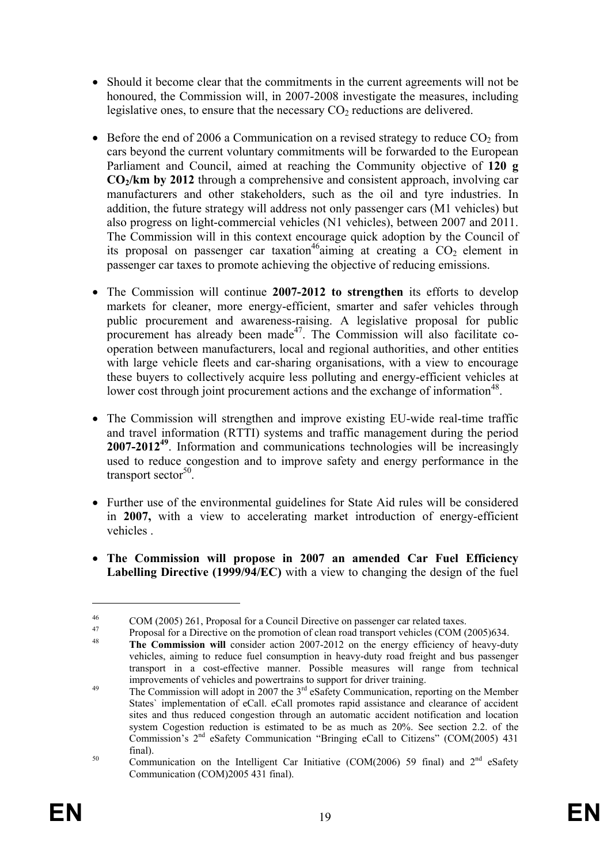- Should it become clear that the commitments in the current agreements will not be honoured, the Commission will, in 2007-2008 investigate the measures, including legislative ones, to ensure that the necessary  $CO<sub>2</sub>$  reductions are delivered.
- Before the end of 2006 a Communication on a revised strategy to reduce  $CO<sub>2</sub>$  from cars beyond the current voluntary commitments will be forwarded to the European Parliament and Council, aimed at reaching the Community objective of **120 g CO2/km by 2012** through a comprehensive and consistent approach, involving car manufacturers and other stakeholders, such as the oil and tyre industries. In addition, the future strategy will address not only passenger cars (M1 vehicles) but also progress on light-commercial vehicles (N1 vehicles), between 2007 and 2011. The Commission will in this context encourage quick adoption by the Council of its proposal on passenger car taxation<sup>46</sup>aiming at creating a  $CO<sub>2</sub>$  element in passenger car taxes to promote achieving the objective of reducing emissions.
- The Commission will continue **2007-2012 to strengthen** its efforts to develop markets for cleaner, more energy-efficient, smarter and safer vehicles through public procurement and awareness-raising. A legislative proposal for public procurement has already been made<sup>47</sup>. The Commission will also facilitate cooperation between manufacturers, local and regional authorities, and other entities with large vehicle fleets and car-sharing organisations, with a view to encourage these buyers to collectively acquire less polluting and energy-efficient vehicles at lower cost through joint procurement actions and the exchange of information<sup>48</sup>.
- The Commission will strengthen and improve existing EU-wide real-time traffic and travel information (RTTI) systems and traffic management during the period **2007-2012<sup>49</sup>**. Information and communications technologies will be increasingly used to reduce congestion and to improve safety and energy performance in the transport sector<sup>50</sup>.
- Further use of the environmental guidelines for State Aid rules will be considered in **2007,** with a view to accelerating market introduction of energy-efficient vehicles .
- **The Commission will propose in 2007 an amended Car Fuel Efficiency Labelling Directive (1999/94/EC)** with a view to changing the design of the fuel

<u>.</u>

<sup>&</sup>lt;sup>46</sup> COM (2005) 261, Proposal for a Council Directive on passenger car related taxes.<br><sup>47</sup> Proposal for a Directive on the promotion of clean road transport vehicles (COM (2005)634.

<sup>&</sup>lt;sup>48</sup> **The Commission will** consider action 2007-2012 on the energy efficiency of heavy-duty

vehicles, aiming to reduce fuel consumption in heavy-duty road freight and bus passenger transport in a cost-effective manner. Possible measures will range from technical

 $\frac{49}{10}$  The Commission will adopt in 2007 the  $3<sup>rd</sup>$  eSafety Communication, reporting on the Member States` implementation of eCall. eCall promotes rapid assistance and clearance of accident sites and thus reduced congestion through an automatic accident notification and location system Cogestion reduction is estimated to be as much as 20%. See section 2.2. of the Commission's 2nd eSafety Communication "Bringing eCall to Citizens" (COM(2005) 431 final).<br><sup>50</sup> Communication on the Intelligent Car Initiative (COM(2006) 59 final) and 2<sup>nd</sup> eSafety

Communication (COM)2005 431 final).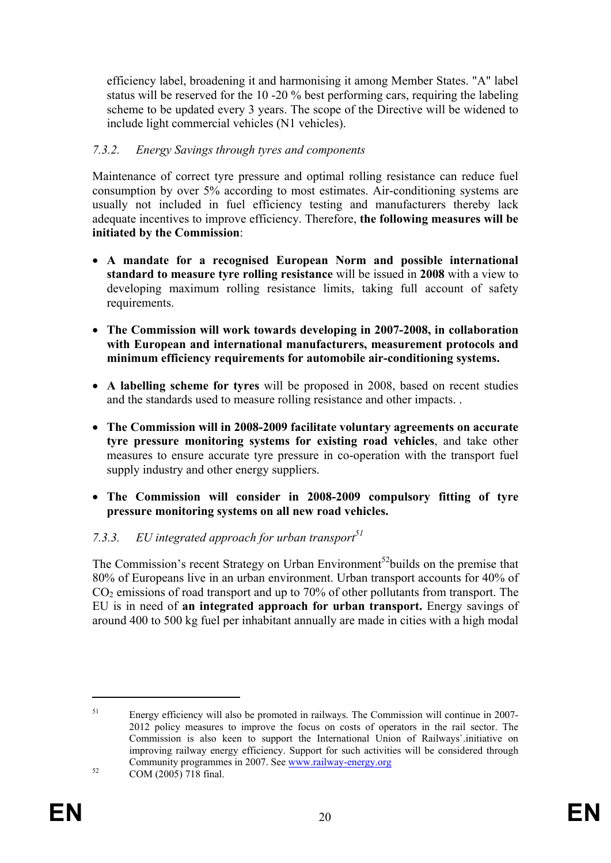efficiency label, broadening it and harmonising it among Member States. "A" label status will be reserved for the 10 -20 % best performing cars, requiring the labeling scheme to be updated every 3 years. The scope of the Directive will be widened to include light commercial vehicles (N1 vehicles).

### *7.3.2. Energy Savings through tyres and components*

Maintenance of correct tyre pressure and optimal rolling resistance can reduce fuel consumption by over 5% according to most estimates. Air-conditioning systems are usually not included in fuel efficiency testing and manufacturers thereby lack adequate incentives to improve efficiency. Therefore, **the following measures will be initiated by the Commission**:

- **A mandate for a recognised European Norm and possible international standard to measure tyre rolling resistance** will be issued in **2008** with a view to developing maximum rolling resistance limits, taking full account of safety requirements.
- **The Commission will work towards developing in 2007-2008, in collaboration with European and international manufacturers, measurement protocols and minimum efficiency requirements for automobile air-conditioning systems.**
- **A labelling scheme for tyres** will be proposed in 2008, based on recent studies and the standards used to measure rolling resistance and other impacts. .
- **The Commission will in 2008-2009 facilitate voluntary agreements on accurate tyre pressure monitoring systems for existing road vehicles**, and take other measures to ensure accurate tyre pressure in co-operation with the transport fuel supply industry and other energy suppliers.
- **The Commission will consider in 2008-2009 compulsory fitting of tyre pressure monitoring systems on all new road vehicles.**

# 7.3.3. EU integrated approach for urban transport<sup>51</sup>

The Commission's recent Strategy on Urban Environment<sup>52</sup>builds on the premise that 80% of Europeans live in an urban environment. Urban transport accounts for 40% of  $CO<sub>2</sub>$  emissions of road transport and up to 70% of other pollutants from transport. The EU is in need of **an integrated approach for urban transport.** Energy savings of around 400 to 500 kg fuel per inhabitant annually are made in cities with a high modal

<sup>51</sup> Energy efficiency will also be promoted in railways. The Commission will continue in 2007- 2012 policy measures to improve the focus on costs of operators in the rail sector. The Commission is also keen to support the International Union of Railways`.initiative on improving railway energy efficiency. Support for such activities will be considered through Community programmes in 2007. See www.railway-energy.org COM (2005) 718 final.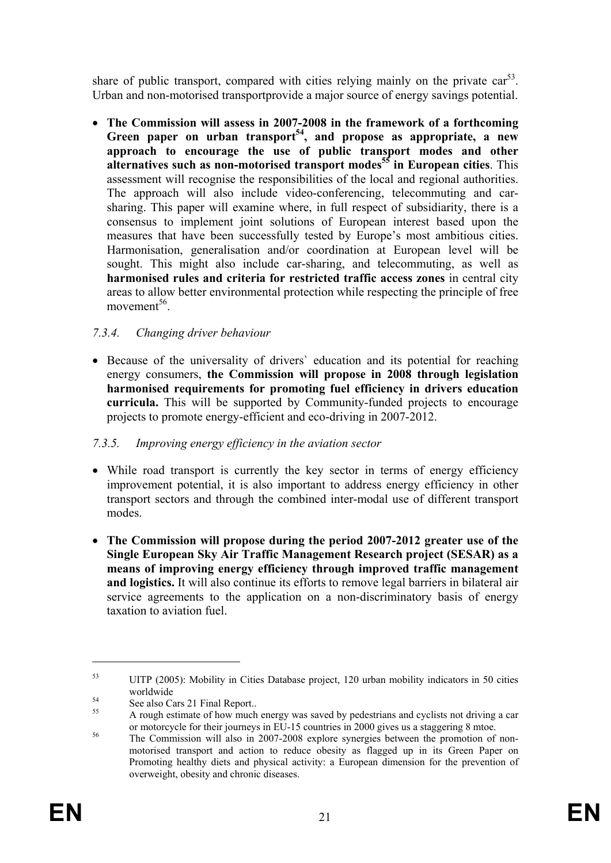share of public transport, compared with cities relying mainly on the private  $\text{car}^{53}$ . Urban and non-motorised transportprovide a major source of energy savings potential.

• **The Commission will assess in 2007-2008 in the framework of a forthcoming**  Green paper on urban transport<sup>54</sup>, and propose as appropriate, a new **approach to encourage the use of public transport modes and other alternatives such as non-motorised transport modes<sup>55</sup> in European cities**. This assessment will recognise the responsibilities of the local and regional authorities. The approach will also include video-conferencing, telecommuting and carsharing. This paper will examine where, in full respect of subsidiarity, there is a consensus to implement joint solutions of European interest based upon the measures that have been successfully tested by Europe's most ambitious cities. Harmonisation, generalisation and/or coordination at European level will be sought. This might also include car-sharing, and telecommuting, as well as **harmonised rules and criteria for restricted traffic access zones** in central city areas to allow better environmental protection while respecting the principle of free movement<sup>56</sup>

# *7.3.4. Changing driver behaviour*

• Because of the universality of drivers' education and its potential for reaching energy consumers, **the Commission will propose in 2008 through legislation harmonised requirements for promoting fuel efficiency in drivers education curricula.** This will be supported by Community-funded projects to encourage projects to promote energy-efficient and eco-driving in 2007-2012.

#### *7.3.5. Improving energy efficiency in the aviation sector*

- While road transport is currently the key sector in terms of energy efficiency improvement potential, it is also important to address energy efficiency in other transport sectors and through the combined inter-modal use of different transport modes.
- **The Commission will propose during the period 2007-2012 greater use of the Single European Sky Air Traffic Management Research project (SESAR) as a means of improving energy efficiency through improved traffic management and logistics.** It will also continue its efforts to remove legal barriers in bilateral air service agreements to the application on a non-discriminatory basis of energy taxation to aviation fuel.

<sup>53</sup> UITP (2005): Mobility in Cities Database project, 120 urban mobility indicators in 50 cities

worldwide<br>
See also Cars 21 Final Report..

A rough estimate of how much energy was saved by pedestrians and cyclists not driving a car<br>or motorcycle for their journeys in EU-15 countries in 2000 gives us a staggering 8 mtoe.

 $\frac{56}{15}$  The Commission will also in 2007-2008 explore synergies between the promotion of nonmotorised transport and action to reduce obesity as flagged up in its Green Paper on Promoting healthy diets and physical activity: a European dimension for the prevention of overweight, obesity and chronic diseases.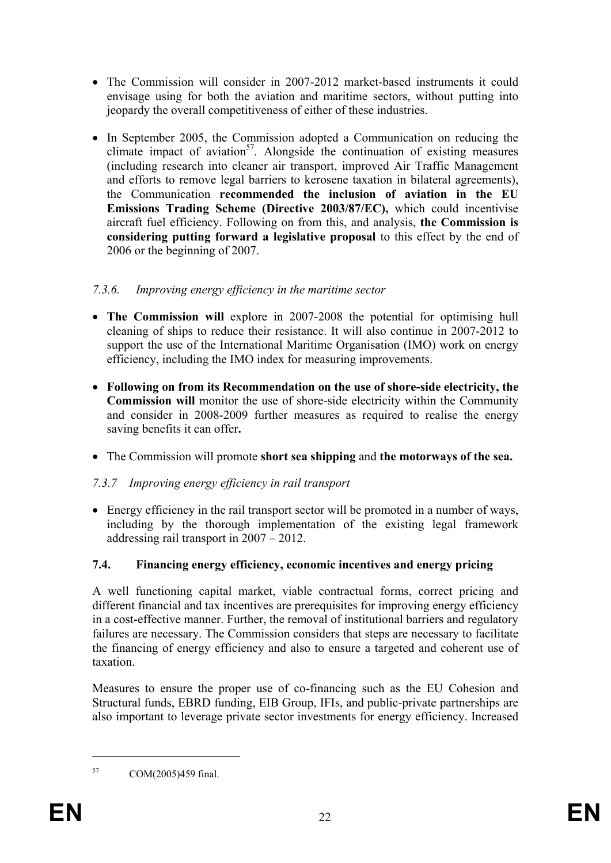- The Commission will consider in 2007-2012 market-based instruments it could envisage using for both the aviation and maritime sectors, without putting into jeopardy the overall competitiveness of either of these industries.
- In September 2005, the Commission adopted a Communication on reducing the climate impact of aviation<sup>57</sup>. Alongside the continuation of existing measures (including research into cleaner air transport, improved Air Traffic Management and efforts to remove legal barriers to kerosene taxation in bilateral agreements), the Communication **recommended the inclusion of aviation in the EU Emissions Trading Scheme (Directive 2003/87/EC),** which could incentivise aircraft fuel efficiency. Following on from this, and analysis, **the Commission is considering putting forward a legislative proposal** to this effect by the end of 2006 or the beginning of 2007.

# *7.3.6. Improving energy efficiency in the maritime sector*

- **The Commission will** explore in 2007-2008 the potential for optimising hull cleaning of ships to reduce their resistance. It will also continue in 2007-2012 to support the use of the International Maritime Organisation (IMO) work on energy efficiency, including the IMO index for measuring improvements.
- **Following on from its Recommendation on the use of shore-side electricity, the Commission will** monitor the use of shore-side electricity within the Community and consider in 2008-2009 further measures as required to realise the energy saving benefits it can offer**.**
- The Commission will promote **short sea shipping** and **the motorways of the sea.**

# *7.3.7 Improving energy efficiency in rail transport*

• Energy efficiency in the rail transport sector will be promoted in a number of ways, including by the thorough implementation of the existing legal framework addressing rail transport in 2007 – 2012.

# **7.4. Financing energy efficiency, economic incentives and energy pricing**

A well functioning capital market, viable contractual forms, correct pricing and different financial and tax incentives are prerequisites for improving energy efficiency in a cost-effective manner. Further, the removal of institutional barriers and regulatory failures are necessary. The Commission considers that steps are necessary to facilitate the financing of energy efficiency and also to ensure a targeted and coherent use of taxation.

Measures to ensure the proper use of co-financing such as the EU Cohesion and Structural funds, EBRD funding, EIB Group, IFIs, and public-private partnerships are also important to leverage private sector investments for energy efficiency. Increased

<sup>57</sup> COM(2005)459 final.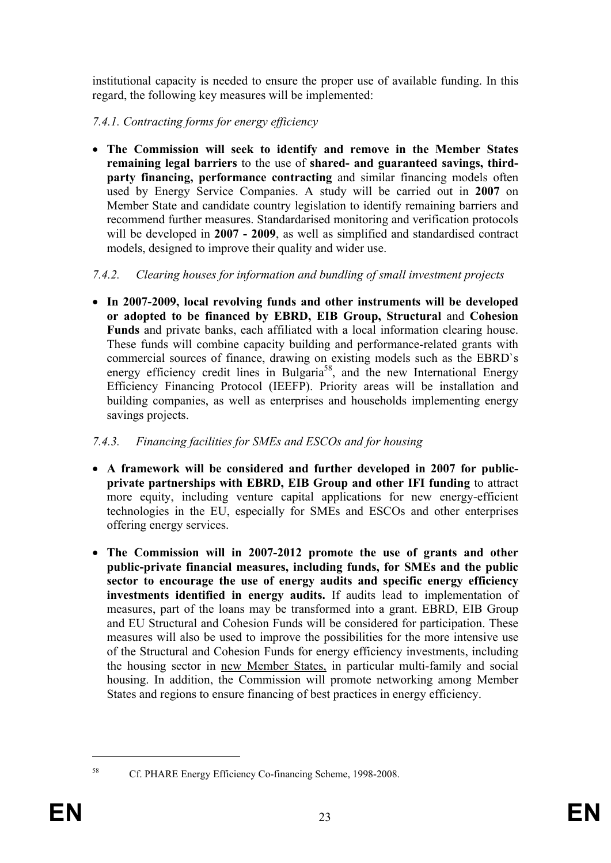institutional capacity is needed to ensure the proper use of available funding. In this regard, the following key measures will be implemented:

*7.4.1. Contracting forms for energy efficiency* 

• **The Commission will seek to identify and remove in the Member States remaining legal barriers** to the use of **shared- and guaranteed savings, thirdparty financing, performance contracting** and similar financing models often used by Energy Service Companies. A study will be carried out in **2007** on Member State and candidate country legislation to identify remaining barriers and recommend further measures. Standardarised monitoring and verification protocols will be developed in **2007 - 2009**, as well as simplified and standardised contract models, designed to improve their quality and wider use.

### *7.4.2. Clearing houses for information and bundling of small investment projects*

• **In 2007-2009, local revolving funds and other instruments will be developed or adopted to be financed by EBRD, EIB Group, Structural** and **Cohesion Funds** and private banks, each affiliated with a local information clearing house. These funds will combine capacity building and performance-related grants with commercial sources of finance, drawing on existing models such as the EBRD`s energy efficiency credit lines in Bulgaria<sup>58</sup>, and the new International Energy Efficiency Financing Protocol (IEEFP). Priority areas will be installation and building companies, as well as enterprises and households implementing energy savings projects.

# *7.4.3. Financing facilities for SMEs and ESCOs and for housing*

- **A framework will be considered and further developed in 2007 for publicprivate partnerships with EBRD, EIB Group and other IFI funding** to attract more equity, including venture capital applications for new energy-efficient technologies in the EU, especially for SMEs and ESCOs and other enterprises offering energy services.
- **The Commission will in 2007-2012 promote the use of grants and other public-private financial measures, including funds, for SMEs and the public sector to encourage the use of energy audits and specific energy efficiency investments identified in energy audits.** If audits lead to implementation of measures, part of the loans may be transformed into a grant. EBRD, EIB Group and EU Structural and Cohesion Funds will be considered for participation. These measures will also be used to improve the possibilities for the more intensive use of the Structural and Cohesion Funds for energy efficiency investments, including the housing sector in new Member States, in particular multi-family and social housing. In addition, the Commission will promote networking among Member States and regions to ensure financing of best practices in energy efficiency.

<sup>58</sup> Cf. PHARE Energy Efficiency Co-financing Scheme, 1998-2008.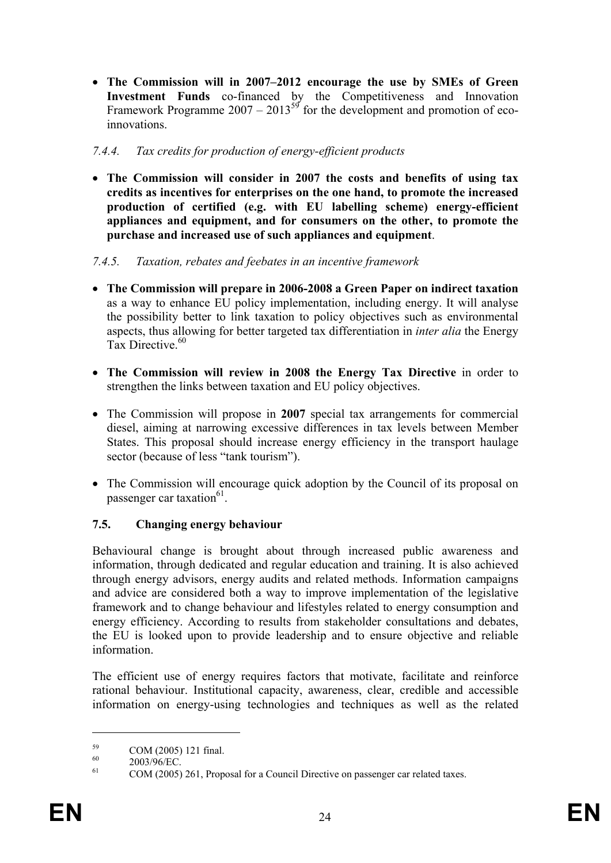• **The Commission will in 2007–2012 encourage the use by SMEs of Green Investment Funds** co-financed by the Competitiveness and Innovation Framework Programme  $2007 - 2013^{59}$  for the development and promotion of ecoinnovations.

### *7.4.4. Tax credits for production of energy-efficient products*

• **The Commission will consider in 2007 the costs and benefits of using tax credits as incentives for enterprises on the one hand, to promote the increased production of certified (e.g. with EU labelling scheme) energy-efficient appliances and equipment, and for consumers on the other, to promote the purchase and increased use of such appliances and equipment**.

#### *7.4.5. Taxation, rebates and feebates in an incentive framework*

- **The Commission will prepare in 2006-2008 a Green Paper on indirect taxation**  as a way to enhance EU policy implementation, including energy. It will analyse the possibility better to link taxation to policy objectives such as environmental aspects, thus allowing for better targeted tax differentiation in *inter alia* the Energy Tax Directive.<sup>60</sup>
- **The Commission will review in 2008 the Energy Tax Directive** in order to strengthen the links between taxation and EU policy objectives.
- The Commission will propose in **2007** special tax arrangements for commercial diesel, aiming at narrowing excessive differences in tax levels between Member States. This proposal should increase energy efficiency in the transport haulage sector (because of less "tank tourism").
- The Commission will encourage quick adoption by the Council of its proposal on passenger car taxation<sup>61</sup>.

# **7.5. Changing energy behaviour**

Behavioural change is brought about through increased public awareness and information, through dedicated and regular education and training. It is also achieved through energy advisors, energy audits and related methods. Information campaigns and advice are considered both a way to improve implementation of the legislative framework and to change behaviour and lifestyles related to energy consumption and energy efficiency. According to results from stakeholder consultations and debates, the EU is looked upon to provide leadership and to ensure objective and reliable information.

The efficient use of energy requires factors that motivate, facilitate and reinforce rational behaviour. Institutional capacity, awareness, clear, credible and accessible information on energy-using technologies and techniques as well as the related

 $\frac{59}{60}$  COM (2005) 121 final.

 $^{60}_{61}$  2003/96/EC.

COM (2005) 261, Proposal for a Council Directive on passenger car related taxes.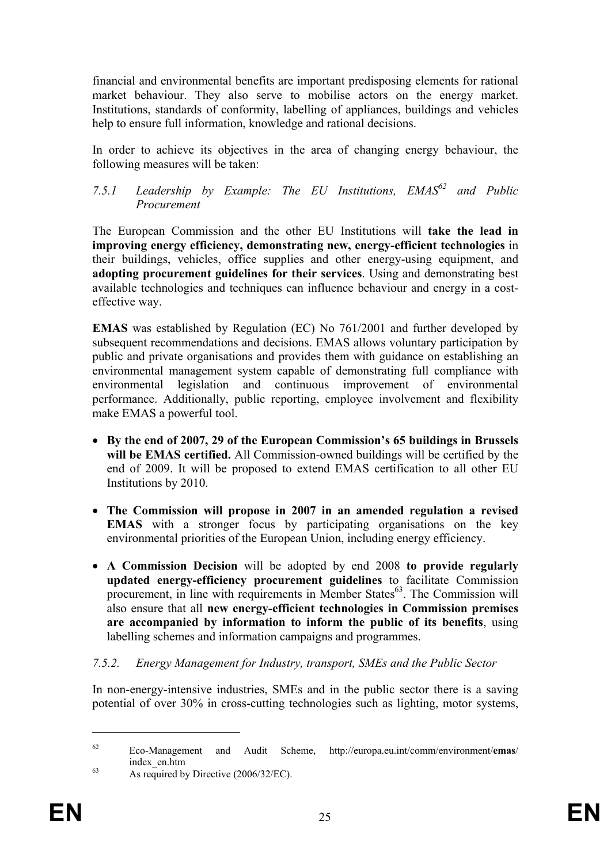financial and environmental benefits are important predisposing elements for rational market behaviour. They also serve to mobilise actors on the energy market. Institutions, standards of conformity, labelling of appliances, buildings and vehicles help to ensure full information, knowledge and rational decisions.

In order to achieve its objectives in the area of changing energy behaviour, the following measures will be taken:

# *7.5.1 Leadership by Example: The EU Institutions, EMAS62 and Public Procurement*

The European Commission and the other EU Institutions will **take the lead in improving energy efficiency, demonstrating new, energy-efficient technologies** in their buildings, vehicles, office supplies and other energy-using equipment, and **adopting procurement guidelines for their services**. Using and demonstrating best available technologies and techniques can influence behaviour and energy in a costeffective way.

**EMAS** was established by Regulation (EC) No 761/2001 and further developed by subsequent recommendations and decisions. EMAS allows voluntary participation by public and private organisations and provides them with guidance on establishing an environmental management system capable of demonstrating full compliance with environmental legislation and continuous improvement of environmental performance. Additionally, public reporting, employee involvement and flexibility make EMAS a powerful tool.

- **By the end of 2007, 29 of the European Commission's 65 buildings in Brussels will be EMAS certified.** All Commission-owned buildings will be certified by the end of 2009. It will be proposed to extend EMAS certification to all other EU Institutions by 2010.
- **The Commission will propose in 2007 in an amended regulation a revised EMAS** with a stronger focus by participating organisations on the key environmental priorities of the European Union, including energy efficiency.
- **A Commission Decision** will be adopted by end 2008 **to provide regularly updated energy-efficiency procurement guidelines** to facilitate Commission procurement, in line with requirements in Member States $63$ . The Commission will also ensure that all **new energy-efficient technologies in Commission premises are accompanied by information to inform the public of its benefits**, using labelling schemes and information campaigns and programmes.

#### *7.5.2. Energy Management for Industry, transport, SMEs and the Public Sector*

In non-energy-intensive industries, SMEs and in the public sector there is a saving potential of over 30% in cross-cutting technologies such as lighting, motor systems,

<sup>62</sup> Eco-Management and Audit Scheme, http://europa.eu.int/comm/environment/**emas**/  $\frac{\text{index\_en.htm}}{\text{As required by Directive (2006/32/EC)}}$ .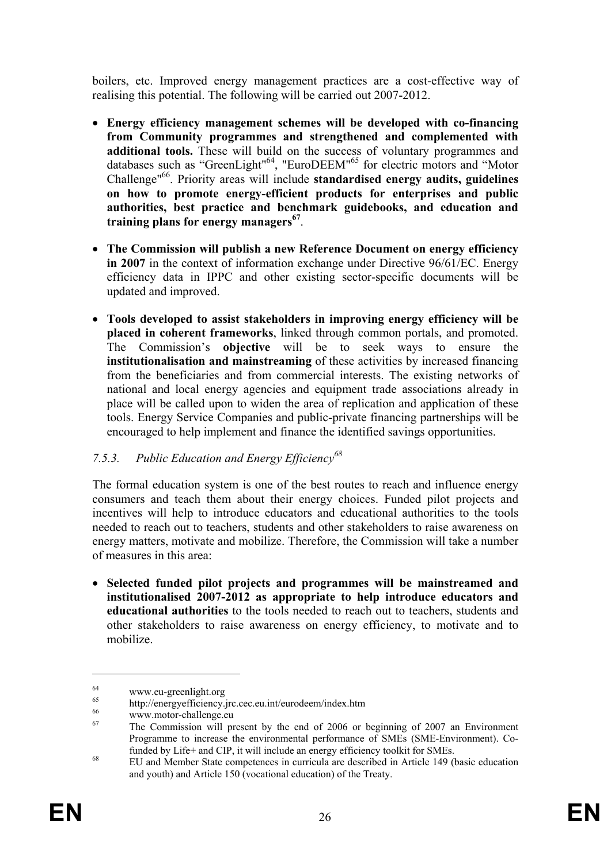boilers, etc. Improved energy management practices are a cost-effective way of realising this potential. The following will be carried out 2007-2012.

- **Energy efficiency management schemes will be developed with co-financing from Community programmes and strengthened and complemented with additional tools.** These will build on the success of voluntary programmes and databases such as "GreenLight"64, "EuroDEEM"65 for electric motors and "Motor Challenge"66. Priority areas will include **standardised energy audits, guidelines on how to promote energy-efficient products for enterprises and public authorities, best practice and benchmark guidebooks, and education and training plans for energy managers67**.
- **The Commission will publish a new Reference Document on energy efficiency in 2007** in the context of information exchange under Directive 96/61/EC. Energy efficiency data in IPPC and other existing sector-specific documents will be updated and improved.
- **Tools developed to assist stakeholders in improving energy efficiency will be placed in coherent frameworks**, linked through common portals, and promoted. The Commission's **objective** will be to seek ways to ensure the **institutionalisation and mainstreaming** of these activities by increased financing from the beneficiaries and from commercial interests. The existing networks of national and local energy agencies and equipment trade associations already in place will be called upon to widen the area of replication and application of these tools. Energy Service Companies and public-private financing partnerships will be encouraged to help implement and finance the identified savings opportunities.

# *7.5.3. Public Education and Energy Efficiency68*

The formal education system is one of the best routes to reach and influence energy consumers and teach them about their energy choices. Funded pilot projects and incentives will help to introduce educators and educational authorities to the tools needed to reach out to teachers, students and other stakeholders to raise awareness on energy matters, motivate and mobilize. Therefore, the Commission will take a number of measures in this area:

• **Selected funded pilot projects and programmes will be mainstreamed and institutionalised 2007-2012 as appropriate to help introduce educators and educational authorities** to the tools needed to reach out to teachers, students and other stakeholders to raise awareness on energy efficiency, to motivate and to mobilize.

<u>.</u>

 $^{64}$  www.eu-greenlight.org

<sup>&</sup>lt;sup>65</sup> http://energyefficiency.jrc.cec.eu.int/eurodeem/index.htm<br>
www.motor-challenge.eu

<sup>67</sup> The Commission will present by the end of 2006 or beginning of 2007 an Environment Programme to increase the environmental performance of SMEs (SME-Environment). Cofunded by Life+ and CIP, it will include an energy efficiency toolkit for SMEs. 68 EU and Member State competences in curricula are described in Article 149 (basic education

and youth) and Article 150 (vocational education) of the Treaty.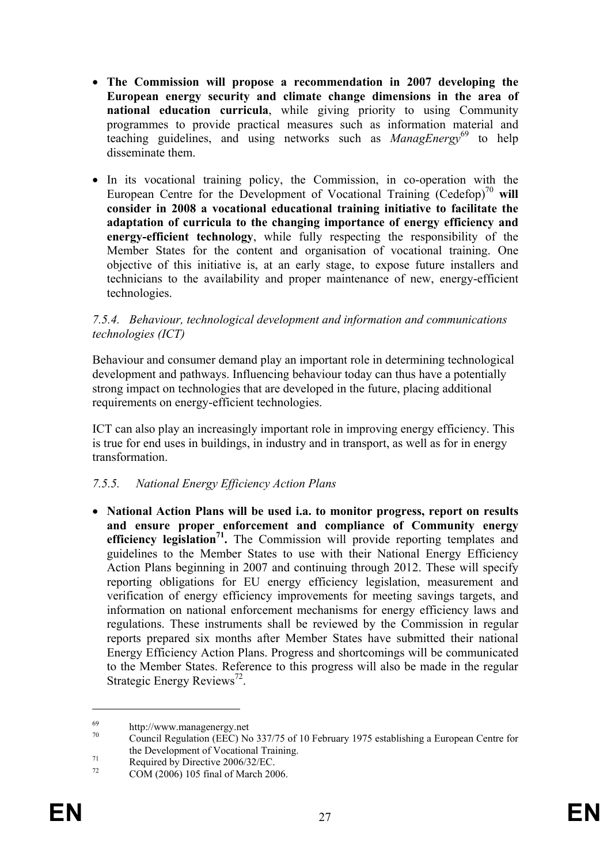- **The Commission will propose a recommendation in 2007 developing the European energy security and climate change dimensions in the area of national education curricula**, while giving priority to using Community programmes to provide practical measures such as information material and teaching guidelines, and using networks such as *ManagEnergy*<sup>69</sup> to help disseminate them.
- In its vocational training policy, the Commission, in co-operation with the European Centre for the Development of Vocational Training  $(Cedefop)<sup>70</sup>$  will **consider in 2008 a vocational educational training initiative to facilitate the adaptation of curricula to the changing importance of energy efficiency and energy-efficient technology**, while fully respecting the responsibility of the Member States for the content and organisation of vocational training. One objective of this initiative is, at an early stage, to expose future installers and technicians to the availability and proper maintenance of new, energy-efficient technologies.

#### *7.5.4. Behaviour, technological development and information and communications technologies (ICT)*

Behaviour and consumer demand play an important role in determining technological development and pathways. Influencing behaviour today can thus have a potentially strong impact on technologies that are developed in the future, placing additional requirements on energy-efficient technologies.

ICT can also play an increasingly important role in improving energy efficiency. This is true for end uses in buildings, in industry and in transport, as well as for in energy transformation.

#### *7.5.5. National Energy Efficiency Action Plans*

• **National Action Plans will be used i.a. to monitor progress, report on results and ensure proper enforcement and compliance of Community energy efficiency legislation**<sup>71</sup>. The Commission will provide reporting templates and guidelines to the Member States to use with their National Energy Efficiency Action Plans beginning in 2007 and continuing through 2012. These will specify reporting obligations for EU energy efficiency legislation, measurement and verification of energy efficiency improvements for meeting savings targets, and information on national enforcement mechanisms for energy efficiency laws and regulations. These instruments shall be reviewed by the Commission in regular reports prepared six months after Member States have submitted their national Energy Efficiency Action Plans. Progress and shortcomings will be communicated to the Member States. Reference to this progress will also be made in the regular Strategic Energy Reviews<sup>72</sup>.

<u>.</u>

 $^{69}_{70}$  http://www.managenergy.net

<sup>70</sup> Council Regulation (EEC) No 337/75 of 10 February 1975 establishing a European Centre for the Development of Vocational Training.<br>
Required by Directive 2006/32/EC.<br>
<sup>72</sup> COM (2006) 105 final of Marsh 2006

COM (2006) 105 final of March 2006.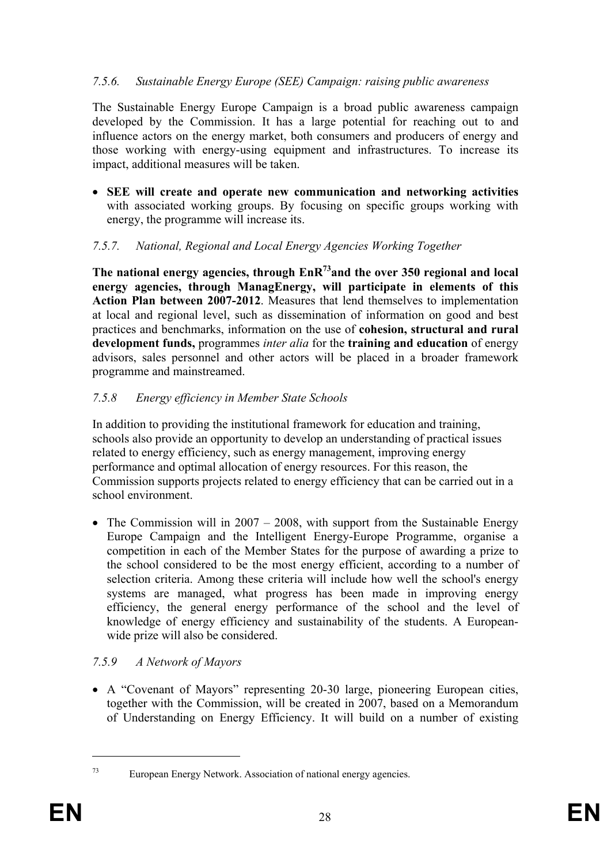#### *7.5.6. Sustainable Energy Europe (SEE) Campaign: raising public awareness*

The Sustainable Energy Europe Campaign is a broad public awareness campaign developed by the Commission. It has a large potential for reaching out to and influence actors on the energy market, both consumers and producers of energy and those working with energy-using equipment and infrastructures. To increase its impact, additional measures will be taken.

• **SEE will create and operate new communication and networking activities** with associated working groups. By focusing on specific groups working with energy, the programme will increase its.

### *7.5.7. National, Regional and Local Energy Agencies Working Together*

**The national energy agencies, through EnR73and the over 350 regional and local energy agencies, through ManagEnergy, will participate in elements of this Action Plan between 2007-2012**. Measures that lend themselves to implementation at local and regional level, such as dissemination of information on good and best practices and benchmarks, information on the use of **cohesion, structural and rural development funds,** programmes *inter alia* for the **training and education** of energy advisors, sales personnel and other actors will be placed in a broader framework programme and mainstreamed.

### *7.5.8 Energy efficiency in Member State Schools*

In addition to providing the institutional framework for education and training, schools also provide an opportunity to develop an understanding of practical issues related to energy efficiency, such as energy management, improving energy performance and optimal allocation of energy resources. For this reason, the Commission supports projects related to energy efficiency that can be carried out in a school environment.

• The Commission will in  $2007 - 2008$ , with support from the Sustainable Energy Europe Campaign and the Intelligent Energy-Europe Programme, organise a competition in each of the Member States for the purpose of awarding a prize to the school considered to be the most energy efficient, according to a number of selection criteria. Among these criteria will include how well the school's energy systems are managed, what progress has been made in improving energy efficiency, the general energy performance of the school and the level of knowledge of energy efficiency and sustainability of the students. A Europeanwide prize will also be considered.

# *7.5.9 A Network of Mayors*

• A "Covenant of Mayors" representing 20-30 large, pioneering European cities, together with the Commission, will be created in 2007, based on a Memorandum of Understanding on Energy Efficiency. It will build on a number of existing

<sup>73</sup> European Energy Network. Association of national energy agencies.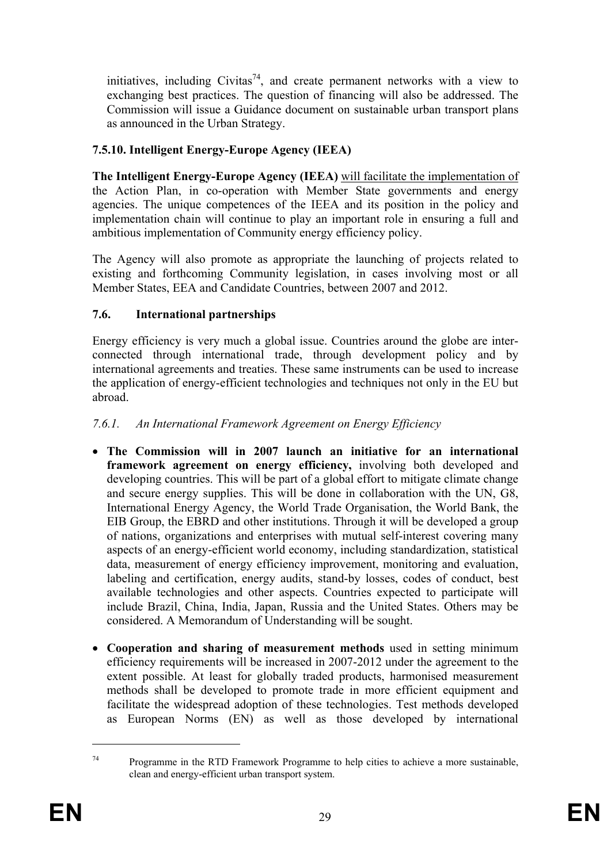initiatives, including Civitas<sup>74</sup>, and create permanent networks with a view to exchanging best practices. The question of financing will also be addressed. The Commission will issue a Guidance document on sustainable urban transport plans as announced in the Urban Strategy.

### **7.5.10. Intelligent Energy-Europe Agency (IEEA)**

**The Intelligent Energy-Europe Agency (IEEA)** will facilitate the implementation of the Action Plan, in co-operation with Member State governments and energy agencies. The unique competences of the IEEA and its position in the policy and implementation chain will continue to play an important role in ensuring a full and ambitious implementation of Community energy efficiency policy.

The Agency will also promote as appropriate the launching of projects related to existing and forthcoming Community legislation, in cases involving most or all Member States, EEA and Candidate Countries, between 2007 and 2012.

### **7.6. International partnerships**

Energy efficiency is very much a global issue. Countries around the globe are interconnected through international trade, through development policy and by international agreements and treaties. These same instruments can be used to increase the application of energy-efficient technologies and techniques not only in the EU but abroad.

### *7.6.1. An International Framework Agreement on Energy Efficiency*

- **The Commission will in 2007 launch an initiative for an international framework agreement on energy efficiency,** involving both developed and developing countries. This will be part of a global effort to mitigate climate change and secure energy supplies. This will be done in collaboration with the UN, G8, International Energy Agency, the World Trade Organisation, the World Bank, the EIB Group, the EBRD and other institutions. Through it will be developed a group of nations, organizations and enterprises with mutual self-interest covering many aspects of an energy-efficient world economy, including standardization, statistical data, measurement of energy efficiency improvement, monitoring and evaluation, labeling and certification, energy audits, stand-by losses, codes of conduct, best available technologies and other aspects. Countries expected to participate will include Brazil, China, India, Japan, Russia and the United States. Others may be considered. A Memorandum of Understanding will be sought.
- **Cooperation and sharing of measurement methods** used in setting minimum efficiency requirements will be increased in 2007-2012 under the agreement to the extent possible. At least for globally traded products, harmonised measurement methods shall be developed to promote trade in more efficient equipment and facilitate the widespread adoption of these technologies. Test methods developed as European Norms (EN) as well as those developed by international

<u>.</u>

<sup>&</sup>lt;sup>74</sup> Programme in the RTD Framework Programme to help cities to achieve a more sustainable, clean and energy-efficient urban transport system.